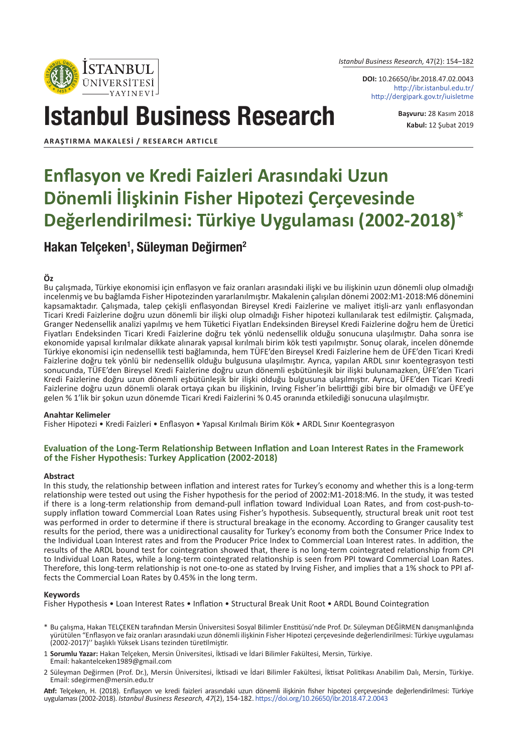*Istanbul Business Research,* 47(2): 154–182

**DOI:** 10.26650/ibr.2018.47.02.0043 http://ibr.istanbul.edu.tr/ http://dergipark.gov.tr/iuisletme

# Istanbul Business Research

**Başvuru:** 28 Kasım 2018 **Kabul:** 12 Şubat 2019

**ARAŞTIRMA MAKALESI / RESEARCH ARTICLE**

**ISTANBUL** ÜNİVERSİTESİ

## **Enflasyon ve Kredi Faizleri Arasındaki Uzun Dönemli İlişkinin Fisher Hipotezi Çerçevesinde Değerlendirilmesi: Türkiye Uygulaması (2002-2018)\***

### Hakan Telçeken<sup>1</sup>, Süleyman Değirmen<sup>2</sup>

#### **Öz**

Bu çalışmada, Türkiye ekonomisi için enflasyon ve faiz oranları arasındaki ilişki ve bu ilişkinin uzun dönemli olup olmadığı incelenmiş ve bu bağlamda Fisher Hipotezinden yararlanılmıştır. Makalenin çalışılan dönemi 2002:M1-2018:M6 dönemini kapsamaktadır. Çalışmada, talep çekişli enflasyondan Bireysel Kredi Faizlerine ve maliyet itişli-arz yanlı enflasyondan Ticari Kredi Faizlerine doğru uzun dönemli bir ilişki olup olmadığı Fisher hipotezi kullanılarak test edilmiştir. Çalışmada, Granger Nedensellik analizi yapılmış ve hem Tüketici Fiyatları Endeksinden Bireysel Kredi Faizlerine doğru hem de Üretici Fiyatları Endeksinden Ticari Kredi Faizlerine doğru tek yönlü nedensellik olduğu sonucuna ulaşılmıştır. Daha sonra ise ekonomide yapısal kırılmalar dikkate alınarak yapısal kırılmalı birim kök testi yapılmıştır. Sonuç olarak, incelen dönemde Türkiye ekonomisi için nedensellik testi bağlamında, hem TÜFE'den Bireysel Kredi Faizlerine hem de ÜFE'den Ticari Kredi Faizlerine doğru tek yönlü bir nedensellik olduğu bulgusuna ulaşılmıştır. Ayrıca, yapılan ARDL sınır koentegrasyon testi sonucunda, TÜFE'den Bireysel Kredi Faizlerine doğru uzun dönemli eşbütünleşik bir ilişki bulunamazken, ÜFE'den Ticari Kredi Faizlerine doğru uzun dönemli eşbütünleşik bir ilişki olduğu bulgusuna ulaşılmıştır. Ayrıca, ÜFE'den Ticari Kredi Faizlerine doğru uzun dönemli olarak ortaya çıkan bu ilişkinin, Irving Fisher'in belirttiği gibi bire bir olmadığı ve ÜFE'ye gelen % 1'lik bir şokun uzun dönemde Ticari Kredi Faizlerini % 0.45 oranında etkilediği sonucuna ulaşılmıştır.

#### **Anahtar Kelimeler**

Fisher Hipotezi • Kredi Faizleri • Enflasyon • Yapısal Kırılmalı Birim Kök • ARDL Sınır Koentegrasyon

#### **Evaluation of the Long-Term Relationship Between Inflation and Loan Interest Rates in the Framework of the Fisher Hypothesis: Turkey Application (2002-2018)**

#### **Abstract**

In this study, the relationship between inflation and interest rates for Turkey's economy and whether this is a long-term relationship were tested out using the Fisher hypothesis for the period of 2002:M1-2018:M6. In the study, it was tested if there is a long-term relationship from demand-pull inflation toward Individual Loan Rates, and from cost-push-tosupply inflation toward Commercial Loan Rates using Fisher's hypothesis. Subsequently, structural break unit root test was performed in order to determine if there is structural breakage in the economy. According to Granger causality test results for the period, there was a unidirectional causality for Turkey's economy from both the Consumer Price Index to the Individual Loan Interest rates and from the Producer Price Index to Commercial Loan Interest rates. In addition, the results of the ARDL bound test for cointegration showed that, there is no long-term cointegrated relationship from CPI to Individual Loan Rates, while a long-term cointegrated relationship is seen from PPI toward Commercial Loan Rates. Therefore, this long-term relationship is not one-to-one as stated by Irving Fisher, and implies that a 1% shock to PPI affects the Commercial Loan Rates by 0.45% in the long term.

#### **Keywords**

Fisher Hypothesis • Loan Interest Rates • Inflation • Structural Break Unit Root • ARDL Bound Cointegration

- \* Bu çalışma, Hakan TELÇEKEN tarafından Mersin Üniversitesi Sosyal Bilimler Enstitüsü'nde Prof. Dr. Süleyman DEĞİRMEN danışmanlığında yürütülen "Enflasyon ve faiz oranları arasındaki uzun dönemli ilişkinin Fisher Hipotezi çerçevesinde değerlendirilmesi: Türkiye uygulaması (2002-2017)'' başlıklı Yüksek Lisans tezinden türetilmiştir.
- 1 **Sorumlu Yazar:** Hakan Telçeken, Mersin Üniversitesi, İktisadi ve İdari Bilimler Fakültesi, Mersin, Türkiye. Email: hakantelceken1989@gmail.com
- 2 Süleyman Değirmen (Prof. Dr.), Mersin Üniversitesi, İktisadi ve İdari Bilimler Fakültesi, İktisat Politikası Anabilim Dalı, Mersin, Türkiye. Email: sdegirmen@mersin.edu.tr

**Atıf:** Telçeken, H. (2018). Enflasyon ve kredi faizleri arasındaki uzun dönemli ilişkinin fisher hipotezi çerçevesinde değerlendirilmesi: Türkiye uygulaması (2002-2018). *Istanbul Business Research, 47*(2), 154-182. https://doi.org/10.26650/ibr.2018.47.2.0043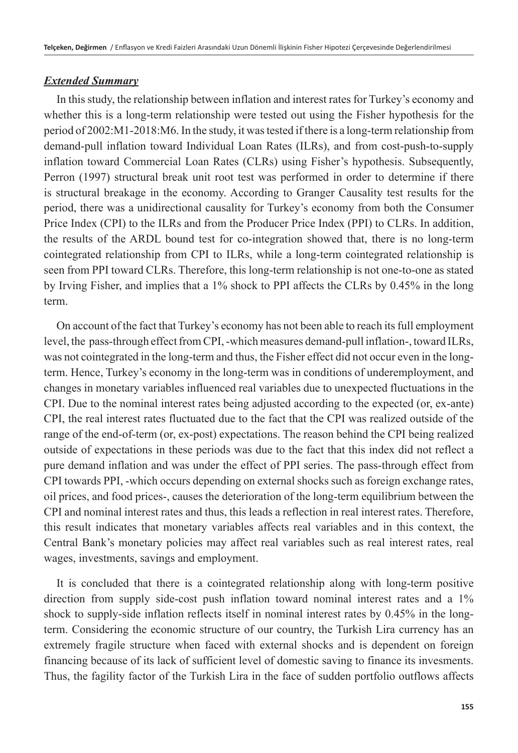#### *Extended Summary*

In this study, the relationship between inflation and interest rates for Turkey's economy and whether this is a long-term relationship were tested out using the Fisher hypothesis for the period of 2002:M1-2018:M6. In the study, it was tested if there is a long-term relationship from demand-pull inflation toward Individual Loan Rates (ILRs), and from cost-push-to-supply inflation toward Commercial Loan Rates (CLRs) using Fisher's hypothesis. Subsequently, Perron (1997) structural break unit root test was performed in order to determine if there is structural breakage in the economy. According to Granger Causality test results for the period, there was a unidirectional causality for Turkey's economy from both the Consumer Price Index (CPI) to the ILRs and from the Producer Price Index (PPI) to CLRs. In addition, the results of the ARDL bound test for co-integration showed that, there is no long-term cointegrated relationship from CPI to ILRs, while a long-term cointegrated relationship is seen from PPI toward CLRs. Therefore, this long-term relationship is not one-to-one as stated by Irving Fisher, and implies that a 1% shock to PPI affects the CLRs by 0.45% in the long term.

On account of the fact that Turkey's economy has not been able to reach its full employment level, the pass-through effect from CPI, -which measures demand-pull inflation-, toward ILRs, was not cointegrated in the long-term and thus, the Fisher effect did not occur even in the longterm. Hence, Turkey's economy in the long-term was in conditions of underemployment, and changes in monetary variables influenced real variables due to unexpected fluctuations in the CPI. Due to the nominal interest rates being adjusted according to the expected (or, ex-ante) CPI, the real interest rates fluctuated due to the fact that the CPI was realized outside of the range of the end-of-term (or, ex-post) expectations. The reason behind the CPI being realized outside of expectations in these periods was due to the fact that this index did not reflect a pure demand inflation and was under the effect of PPI series. The pass-through effect from CPI towards PPI, -which occurs depending on external shocks such as foreign exchange rates, oil prices, and food prices-, causes the deterioration of the long-term equilibrium between the CPI and nominal interest rates and thus, this leads a reflection in real interest rates. Therefore, this result indicates that monetary variables affects real variables and in this context, the Central Bank's monetary policies may affect real variables such as real interest rates, real wages, investments, savings and employment.

It is concluded that there is a cointegrated relationship along with long-term positive direction from supply side-cost push inflation toward nominal interest rates and a 1% shock to supply-side inflation reflects itself in nominal interest rates by 0.45% in the longterm. Considering the economic structure of our country, the Turkish Lira currency has an extremely fragile structure when faced with external shocks and is dependent on foreign financing because of its lack of sufficient level of domestic saving to finance its invesments. Thus, the fagility factor of the Turkish Lira in the face of sudden portfolio outflows affects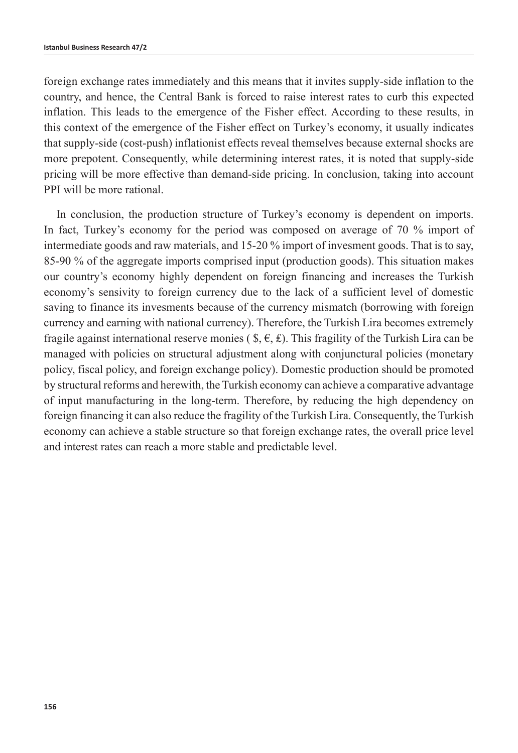foreign exchange rates immediately and this means that it invites supply-side inflation to the country, and hence, the Central Bank is forced to raise interest rates to curb this expected inflation. This leads to the emergence of the Fisher effect. According to these results, in this context of the emergence of the Fisher effect on Turkey's economy, it usually indicates that supply-side (cost-push) inflationist effects reveal themselves because external shocks are more prepotent. Consequently, while determining interest rates, it is noted that supply-side pricing will be more effective than demand-side pricing. In conclusion, taking into account PPI will be more rational.

In conclusion, the production structure of Turkey's economy is dependent on imports. In fact, Turkey's economy for the period was composed on average of 70 % import of intermediate goods and raw materials, and 15-20 % import of invesment goods. That is to say, 85-90 % of the aggregate imports comprised input (production goods). This situation makes our country's economy highly dependent on foreign financing and increases the Turkish economy's sensivity to foreign currency due to the lack of a sufficient level of domestic saving to finance its invesments because of the currency mismatch (borrowing with foreign currency and earning with national currency). Therefore, the Turkish Lira becomes extremely fragile against international reserve monies (  $\hat{\mathbf{s}}, \hat{\mathbf{\epsilon}}, \hat{\mathbf{\epsilon}}$ ). This fragility of the Turkish Lira can be managed with policies on structural adjustment along with conjunctural policies (monetary policy, fiscal policy, and foreign exchange policy). Domestic production should be promoted by structural reforms and herewith, the Turkish economy can achieve a comparative advantage of input manufacturing in the long-term. Therefore, by reducing the high dependency on foreign financing it can also reduce the fragility of the Turkish Lira. Consequently, the Turkish economy can achieve a stable structure so that foreign exchange rates, the overall price level and interest rates can reach a more stable and predictable level.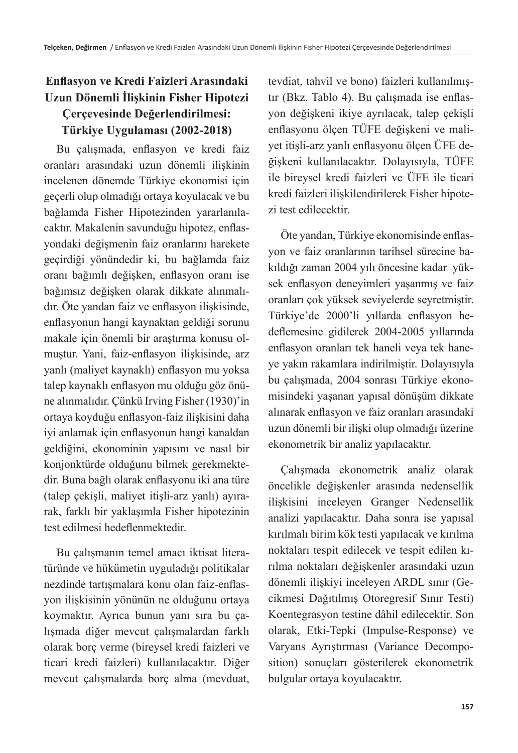### **Enflasyon ve Kredi Faizleri Arasındaki Uzun Dönemli İlişkinin Fisher Hipotezi Çerçevesinde Değerlendirilmesi: Türkiye Uygulaması (2002-2018)**

Bu çalışmada, enflasyon ve kredi faiz oranları arasındaki uzun dönemli ilişkinin incelenen dönemde Türkiye ekonomisi için geçerli olup olmadığı ortaya koyulacak ve bu bağlamda Fisher Hipotezinden yararlanılacaktır. Makalenin savunduğu hipotez, enflasyondaki değişmenin faiz oranlarını harekete geçirdiği yönündedir ki, bu bağlamda faiz oranı bağımlı değişken, enflasyon oranı ise bağımsız değişken olarak dikkate alınmalıdır. Öte yandan faiz ve enflasyon ilişkisinde, enflasyonun hangi kaynaktan geldiği sorunu makale için önemli bir araştırma konusu olmuştur. Yani, faiz-enflasyon ilişkisinde, arz yanlı (maliyet kaynaklı) enflasyon mu yoksa talep kaynaklı enflasyon mu olduğu göz önüne alınmalıdır. Çünkü Irving Fisher (1930)'in ortaya koyduğu enflasyon-faiz ilişkisini daha iyi anlamak için enflasyonun hangi kanaldan geldiğini, ekonominin yapısını ve nasıl bir konjonktürde olduğunu bilmek gerekmektedir. Buna bağlı olarak enflasyonu iki ana türe (talep çekişli, maliyet itişli-arz yanlı) ayırarak, farklı bir yaklaşımla Fisher hipotezinin test edilmesi hedeflenmektedir.

Bu çalışmanın temel amacı iktisat literatüründe ve hükümetin uyguladığı politikalar nezdinde tartışmalara konu olan faiz-enflasyon ilişkisinin yönünün ne olduğunu ortaya koymaktır. Ayrıca bunun yanı sıra bu çalışmada diğer mevcut çalışmalardan farklı olarak borç verme (bireysel kredi faizleri ve ticari kredi faizleri) kullanılacaktır. Diğer mevcut çalışmalarda borç alma (mevduat, tevdiat, tahvil ve bono) faizleri kullanılmıştır (Bkz. Tablo 4). Bu çalışmada ise enflasyon değişkeni ikiye ayrılacak, talep çekişli enflasyonu ölçen TÜFE değişkeni ve maliyet itişli-arz yanlı enflasyonu ölçen ÜFE değişkeni kullanılacaktır. Dolayısıyla, TÜFE ile bireysel kredi faizleri ve ÜFE ile ticari kredi faizleri ilişkilendirilerek Fisher hipotezi test edilecektir.

Öte yandan, Türkiye ekonomisinde enflasyon ve faiz oranlarının tarihsel sürecine bakıldığı zaman 2004 yılı öncesine kadar yüksek enflasyon deneyimleri yaşanmış ve faiz oranları çok yüksek seviyelerde seyretmiştir. Türkiye'de 2000'li yıllarda enflasyon hedeflemesine gidilerek 2004-2005 yıllarında enflasyon oranları tek haneli veya tek haneye yakın rakamlara indirilmiştir. Dolayısıyla bu çalışmada, 2004 sonrası Türkiye ekonomisindeki yaşanan yapısal dönüşüm dikkate alınarak enflasyon ve faiz oranları arasındaki uzun dönemli bir ilişki olup olmadığı üzerine ekonometrik bir analiz yapılacaktır.

Çalışmada ekonometrik analiz olarak öncelikle değişkenler arasında nedensellik ilişkisini inceleyen Granger Nedensellik analizi yapılacaktır. Daha sonra ise yapısal kırılmalı birim kök testi yapılacak ve kırılma noktaları tespit edilecek ve tespit edilen kırılma noktaları değişkenler arasındaki uzun dönemli ilişkiyi inceleyen ARDL sınır (Gecikmesi Dağıtılmış Otoregresif Sınır Testi) Koentegrasyon testine dâhil edilecektir. Son olarak, Etki-Tepki (Impulse-Response) ve Varyans Ayrıştırması (Variance Decomposition) sonuçları gösterilerek ekonometrik bulgular ortaya koyulacaktır.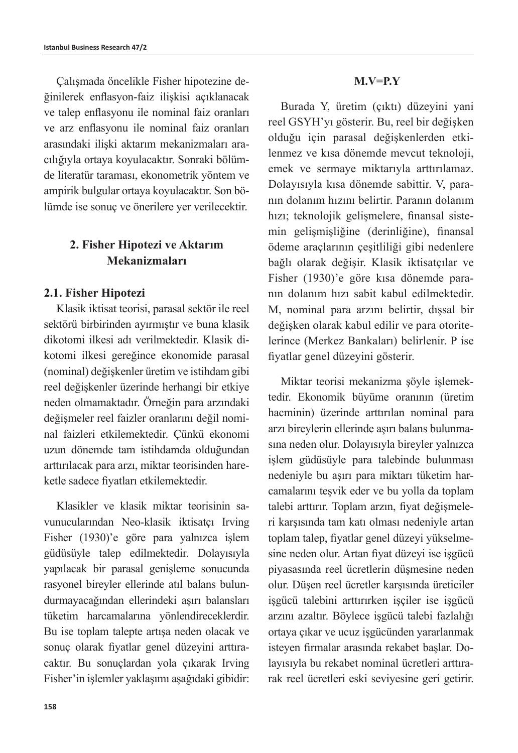Çalışmada öncelikle Fisher hipotezine değinilerek enflasyon-faiz ilişkisi açıklanacak ve talep enflasyonu ile nominal faiz oranları ve arz enflasyonu ile nominal faiz oranları arasındaki ilişki aktarım mekanizmaları aracılığıyla ortaya koyulacaktır. Sonraki bölümde literatür taraması, ekonometrik yöntem ve ampirik bulgular ortaya koyulacaktır. Son bölümde ise sonuç ve önerilere yer verilecektir.

### **2. Fisher Hipotezi ve Aktarım Mekanizmaları**

### **2.1. Fisher Hipotezi**

Klasik iktisat teorisi, parasal sektör ile reel sektörü birbirinden ayırmıştır ve buna klasik dikotomi ilkesi adı verilmektedir. Klasik dikotomi ilkesi gereğince ekonomide parasal (nominal) değişkenler üretim ve istihdam gibi reel değişkenler üzerinde herhangi bir etkiye neden olmamaktadır. Örneğin para arzındaki değişmeler reel faizler oranlarını değil nominal faizleri etkilemektedir. Çünkü ekonomi uzun dönemde tam istihdamda olduğundan arttırılacak para arzı, miktar teorisinden hareketle sadece fiyatları etkilemektedir.

Klasikler ve klasik miktar teorisinin savunucularından Neo-klasik iktisatçı Irving Fisher (1930)'e göre para yalnızca işlem güdüsüyle talep edilmektedir. Dolayısıyla yapılacak bir parasal genişleme sonucunda rasyonel bireyler ellerinde atıl balans bulundurmayacağından ellerindeki aşırı balansları tüketim harcamalarına yönlendireceklerdir. Bu ise toplam talepte artışa neden olacak ve sonuç olarak fiyatlar genel düzeyini arttıracaktır. Bu sonuçlardan yola çıkarak Irving Fisher'in işlemler yaklaşımı aşağıdaki gibidir:

#### **M.V=P.Y**

Burada Y, üretim (çıktı) düzeyini yani reel GSYH'yı gösterir. Bu, reel bir değişken olduğu için parasal değişkenlerden etkilenmez ve kısa dönemde mevcut teknoloji, emek ve sermaye miktarıyla arttırılamaz. Dolayısıyla kısa dönemde sabittir. V, paranın dolanım hızını belirtir. Paranın dolanım hızı; teknolojik gelişmelere, finansal sistemin gelişmişliğine (derinliğine), finansal ödeme araçlarının çeşitliliği gibi nedenlere bağlı olarak değişir. Klasik iktisatçılar ve Fisher (1930)'e göre kısa dönemde paranın dolanım hızı sabit kabul edilmektedir. M, nominal para arzını belirtir, dışsal bir değişken olarak kabul edilir ve para otoritelerince (Merkez Bankaları) belirlenir. P ise fiyatlar genel düzeyini gösterir.

Miktar teorisi mekanizma şöyle işlemektedir. Ekonomik büyüme oranının (üretim hacminin) üzerinde arttırılan nominal para arzı bireylerin ellerinde aşırı balans bulunmasına neden olur. Dolayısıyla bireyler yalnızca işlem güdüsüyle para talebinde bulunması nedeniyle bu aşırı para miktarı tüketim harcamalarını teşvik eder ve bu yolla da toplam talebi arttırır. Toplam arzın, fiyat değişmeleri karşısında tam katı olması nedeniyle artan toplam talep, fiyatlar genel düzeyi yükselmesine neden olur. Artan fiyat düzeyi ise işgücü piyasasında reel ücretlerin düşmesine neden olur. Düşen reel ücretler karşısında üreticiler işgücü talebini arttırırken işçiler ise işgücü arzını azaltır. Böylece işgücü talebi fazlalığı ortaya çıkar ve ucuz işgücünden yararlanmak isteyen firmalar arasında rekabet başlar. Dolayısıyla bu rekabet nominal ücretleri arttırarak reel ücretleri eski seviyesine geri getirir.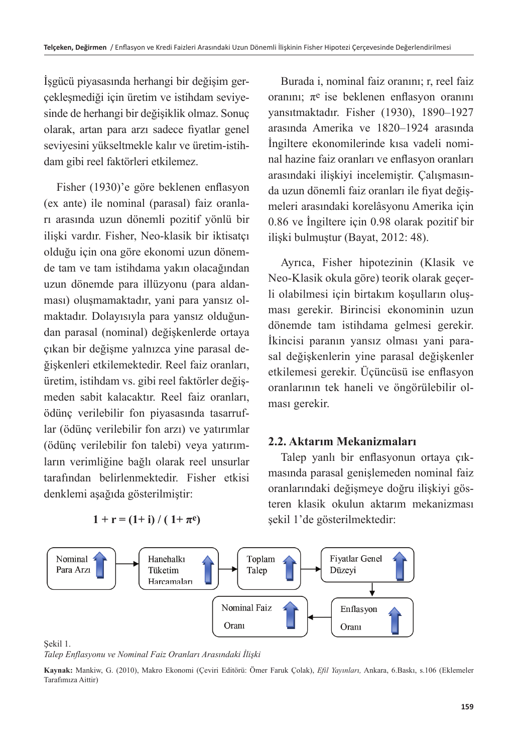İşgücü piyasasında herhangi bir değişim gerçekleşmediği için üretim ve istihdam seviyesinde de herhangi bir değişiklik olmaz. Sonuç olarak, artan para arzı sadece fiyatlar genel seviyesini yükseltmekle kalır ve üretim-istihdam gibi reel faktörleri etkilemez.

Fisher (1930)'e göre beklenen enflasyon (ex ante) ile nominal (parasal) faiz oranları arasında uzun dönemli pozitif yönlü bir ilişki vardır. Fisher, Neo-klasik bir iktisatçı olduğu için ona göre ekonomi uzun dönemde tam ve tam istihdama yakın olacağından uzun dönemde para illüzyonu (para aldanması) oluşmamaktadır, yani para yansız olmaktadır. Dolayısıyla para yansız olduğundan parasal (nominal) değişkenlerde ortaya çıkan bir değişme yalnızca yine parasal değişkenleri etkilemektedir. Reel faiz oranları, üretim, istihdam vs. gibi reel faktörler değişmeden sabit kalacaktır. Reel faiz oranları, ödünç verilebilir fon piyasasında tasarruflar (ödünç verilebilir fon arzı) ve yatırımlar (ödünç verilebilir fon talebi) veya yatırımların verimliğine bağlı olarak reel unsurlar tarafından belirlenmektedir. Fisher etkisi denklemi aşağıda gösterilmiştir:

Burada i, nominal faiz oranını; r, reel faiz oranını;  $\pi$ <sup>e</sup> ise beklenen enflasyon oranını yansıtmaktadır. Fisher (1930), 1890–1927 arasında Amerika ve 1820–1924 arasında İngiltere ekonomilerinde kısa vadeli nominal hazine faiz oranları ve enflasyon oranları arasındaki ilişkiyi incelemiştir. Çalışmasında uzun dönemli faiz oranları ile fiyat değişmeleri arasındaki korelâsyonu Amerika için 0.86 ve İngiltere için 0.98 olarak pozitif bir ilişki bulmuştur (Bayat, 2012: 48).

Ayrıca, Fisher hipotezinin (Klasik ve Neo-Klasik okula göre) teorik olarak geçerli olabilmesi için birtakım koşulların oluşması gerekir. Birincisi ekonominin uzun dönemde tam istihdama gelmesi gerekir. İkincisi paranın yansız olması yani parasal değişkenlerin yine parasal değişkenler etkilemesi gerekir. Üçüncüsü ise enflasyon oranlarının tek haneli ve öngörülebilir olması gerekir.

### **2.2. Aktarım Mekanizmaları**

Talep yanlı bir enflasyonun ortaya çıkmasında parasal genişlemeden nominal faiz oranlarındaki değişmeye doğru ilişkiyi gösteren klasik okulun aktarım mekanizması şekil 1'de gösterilmektedir:



*Talep Enflasyonu ve Nominal Faiz Oranları Arasındaki İlişki*

 $1 + r = (1 + i) / (1 + \pi^e)$ 

**Kaynak:** Mankiw, G. (2010), Makro Ekonomi (Çeviri Editörü: Ömer Faruk Çolak), *Efil Yayınları,* Ankara, 6.Baskı, s.106 (Eklemeler Tarafımıza Aittir)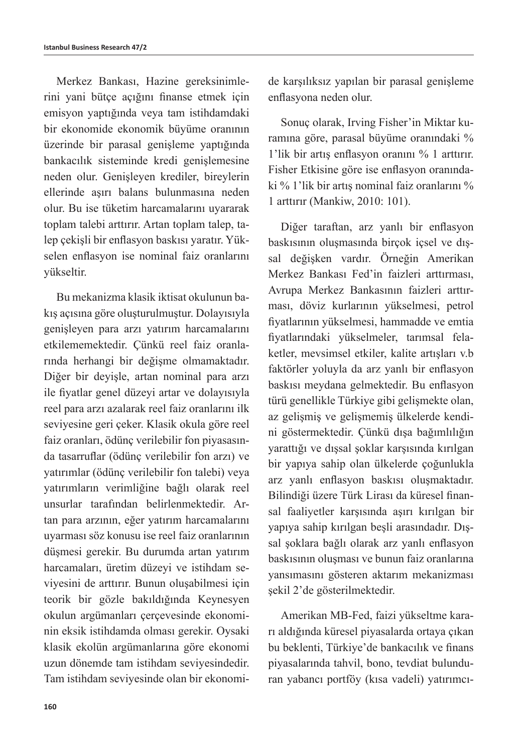Merkez Bankası, Hazine gereksinimlerini yani bütçe açığını finanse etmek için emisyon yaptığında veya tam istihdamdaki bir ekonomide ekonomik büyüme oranının üzerinde bir parasal genişleme yaptığında bankacılık sisteminde kredi genişlemesine neden olur. Genişleyen krediler, bireylerin ellerinde aşırı balans bulunmasına neden olur. Bu ise tüketim harcamalarını uyararak toplam talebi arttırır. Artan toplam talep, talep çekişli bir enflasyon baskısı yaratır. Yükselen enflasyon ise nominal faiz oranlarını yükseltir.

Bu mekanizma klasik iktisat okulunun bakış açısına göre oluşturulmuştur. Dolayısıyla genişleyen para arzı yatırım harcamalarını etkilememektedir. Çünkü reel faiz oranlarında herhangi bir değişme olmamaktadır. Diğer bir deyişle, artan nominal para arzı ile fiyatlar genel düzeyi artar ve dolayısıyla reel para arzı azalarak reel faiz oranlarını ilk seviyesine geri çeker. Klasik okula göre reel faiz oranları, ödünç verilebilir fon piyasasında tasarruflar (ödünç verilebilir fon arzı) ve yatırımlar (ödünç verilebilir fon talebi) veya yatırımların verimliğine bağlı olarak reel unsurlar tarafından belirlenmektedir. Artan para arzının, eğer yatırım harcamalarını uyarması söz konusu ise reel faiz oranlarının düşmesi gerekir. Bu durumda artan yatırım harcamaları, üretim düzeyi ve istihdam seviyesini de arttırır. Bunun oluşabilmesi için teorik bir gözle bakıldığında Keynesyen okulun argümanları çerçevesinde ekonominin eksik istihdamda olması gerekir. Oysaki klasik ekolün argümanlarına göre ekonomi uzun dönemde tam istihdam seviyesindedir. Tam istihdam seviyesinde olan bir ekonomide karşılıksız yapılan bir parasal genişleme enflasyona neden olur.

Sonuç olarak, Irving Fisher'in Miktar kuramına göre, parasal büyüme oranındaki % 1'lik bir artış enflasyon oranını % 1 arttırır. Fisher Etkisine göre ise enflasyon oranındaki % 1'lik bir artış nominal faiz oranlarını % 1 arttırır (Mankiw, 2010: 101).

Diğer taraftan, arz yanlı bir enflasyon baskısının oluşmasında birçok içsel ve dışsal değişken vardır. Örneğin Amerikan Merkez Bankası Fed'in faizleri arttırması, Avrupa Merkez Bankasının faizleri arttırması, döviz kurlarının yükselmesi, petrol fiyatlarının yükselmesi, hammadde ve emtia fiyatlarındaki yükselmeler, tarımsal felaketler, mevsimsel etkiler, kalite artışları v.b faktörler yoluyla da arz yanlı bir enflasyon baskısı meydana gelmektedir. Bu enflasyon türü genellikle Türkiye gibi gelişmekte olan, az gelişmiş ve gelişmemiş ülkelerde kendini göstermektedir. Çünkü dışa bağımlılığın yarattığı ve dışsal şoklar karşısında kırılgan bir yapıya sahip olan ülkelerde çoğunlukla arz yanlı enflasyon baskısı oluşmaktadır. Bilindiği üzere Türk Lirası da küresel finansal faaliyetler karşısında aşırı kırılgan bir yapıya sahip kırılgan beşli arasındadır. Dışsal şoklara bağlı olarak arz yanlı enflasyon baskısının oluşması ve bunun faiz oranlarına yansımasını gösteren aktarım mekanizması şekil 2'de gösterilmektedir.

Amerikan MB-Fed, faizi yükseltme kararı aldığında küresel piyasalarda ortaya çıkan bu beklenti, Türkiye'de bankacılık ve finans piyasalarında tahvil, bono, tevdiat bulunduran yabancı portföy (kısa vadeli) yatırımcı-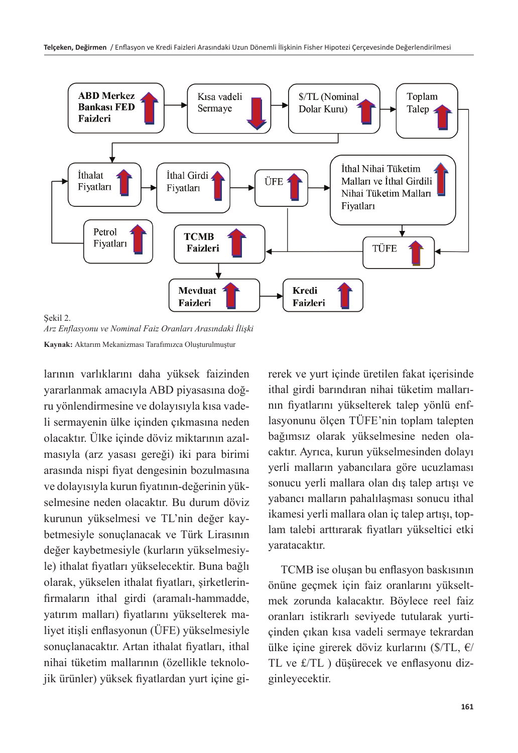

Sekil 2.

*Arz Enflasyonu ve Nominal Faiz Oranları Arasındaki İlişki* **Kaynak:** Aktarım Mekanizması Tarafımızca Oluşturulmuştur

larının varlıklarını daha yüksek faizinden yararlanmak amacıyla ABD piyasasına doğru yönlendirmesine ve dolayısıyla kısa vadeli sermayenin ülke içinden çıkmasına neden olacaktır. Ülke içinde döviz miktarının azalmasıyla (arz yasası gereği) iki para birimi arasında nispi fiyat dengesinin bozulmasına ve dolayısıyla kurun fiyatının-değerinin yükselmesine neden olacaktır. Bu durum döviz kurunun yükselmesi ve TL'nin değer kaybetmesiyle sonuçlanacak ve Türk Lirasının değer kaybetmesiyle (kurların yükselmesiyle) ithalat fiyatları yükselecektir. Buna bağlı olarak, yükselen ithalat fiyatları, şirketlerinfirmaların ithal girdi (aramalı-hammadde, yatırım malları) fiyatlarını yükselterek maliyet itişli enflasyonun (ÜFE) yükselmesiyle sonuçlanacaktır. Artan ithalat fiyatları, ithal nihai tüketim mallarının (özellikle teknolojik ürünler) yüksek fiyatlardan yurt içine gi-

rerek ve yurt içinde üretilen fakat içerisinde ithal girdi barındıran nihai tüketim mallarının fiyatlarını yükselterek talep yönlü enflasyonunu ölçen TÜFE'nin toplam talepten bağımsız olarak yükselmesine neden olacaktır. Ayrıca, kurun yükselmesinden dolayı yerli malların yabancılara göre ucuzlaması sonucu yerli mallara olan dış talep artışı ve yabancı malların pahalılaşması sonucu ithal ikamesi yerli mallara olan iç talep artışı, toplam talebi arttırarak fiyatları yükseltici etki yaratacaktır.

TCMB ise oluşan bu enflasyon baskısının önüne geçmek için faiz oranlarını yükseltmek zorunda kalacaktır. Böylece reel faiz oranları istikrarlı seviyede tutularak yurtiçinden çıkan kısa vadeli sermaye tekrardan ülke içine girerek döviz kurlarını ( $\sqrt{\text{TL}}$ ,  $\epsilon$ / TL ve £/TL ) düşürecek ve enflasyonu dizginleyecektir.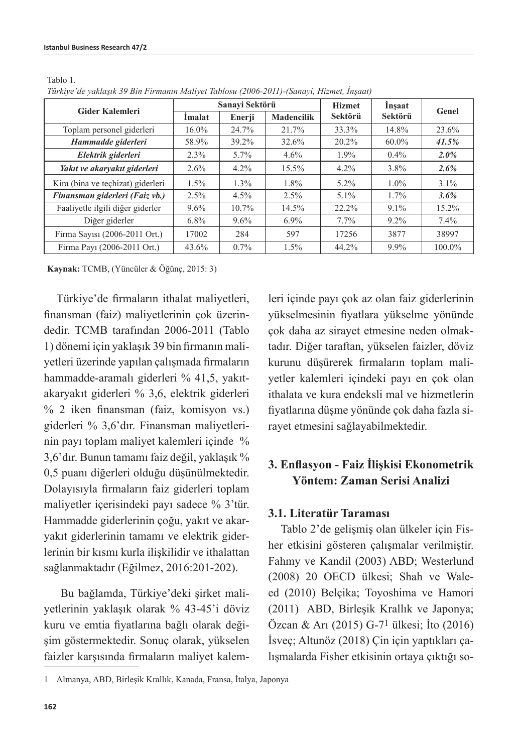Tablo 1.

| Turkiye de yakıdşık 59 Din Firmanın matiyet Tablosu (2000-2011)-(Sanayi, Hizmet, İnşaat) |                |         |                   |               |          |         |  |
|------------------------------------------------------------------------------------------|----------------|---------|-------------------|---------------|----------|---------|--|
| <b>Gider Kalemleri</b>                                                                   | Sanavi Sektörü |         |                   | <b>Hizmet</b> | Insaat   | Genel   |  |
|                                                                                          | Imalat         | Enerji  | <b>Madencilik</b> | Sektörü       | Sektörü  |         |  |
| Toplam personel giderleri                                                                | $16.0\%$       | 24.7%   | 21.7%             | 33.3%         | 14.8%    | 23.6%   |  |
| Hammadde giderleri                                                                       | 58.9%          | 39.2%   | 32.6%             | 20.2%         | $60.0\%$ | 41.5%   |  |
| Elektrik giderleri                                                                       | 2.3%           | $5.7\%$ | $4.6\%$           | $1.9\%$       | $0.4\%$  | $2.0\%$ |  |
| Yakıt ve akaryakıt giderleri                                                             | $2.6\%$        | $4.2\%$ | 15.5%             | $4.2\%$       | $3.8\%$  | $2.6\%$ |  |
| Kira (bina ve teçhizat) giderleri                                                        | $1.5\%$        | 1.3%    | $1.8\%$           | $5.2\%$       | $1.0\%$  | $3.1\%$ |  |
| Finansman giderleri (Faiz vb.)                                                           | 2.5%           | 4.5%    | 2.5%              | $5.1\%$       | $1.7\%$  | $3.6\%$ |  |
| Faaliyetle ilgili diğer giderler                                                         | $9.6\%$        | 10.7%   | 14.5%             | 22.2%         | $9.1\%$  | 15.2%   |  |
| Diğer giderler                                                                           | $6.8\%$        | $9.6\%$ | $6.9\%$           | $7.7\%$       | $9.2\%$  | $7.4\%$ |  |
| Firma Sayısı (2006-2011 Ort.)                                                            | 17002          | 284     | 597               | 17256         | 3877     | 38997   |  |
| Firma Pavi (2006-2011 Ort.)                                                              | $43.6\%$       | $0.7\%$ | 1.5%              | 44.2%         | 9.9%     | 100.0%  |  |

*Türkiye'de yaklaşık 39 Bin Firmanın Maliyet Tablosu (2006-2011)-(Sanayi, Hizmet, İnşaat)*

**Kaynak:** TCMB, (Yüncüler & Öğünç, 2015: 3)

Türkiye'de firmaların ithalat maliyetleri, finansman (faiz) maliyetlerinin çok üzerindedir. TCMB tarafından 2006-2011 (Tablo 1) dönemi için yaklaşık 39 bin firmanın maliyetleri üzerinde yapılan çalışmada firmaların hammadde-aramalı giderleri % 41,5, yakıtakaryakıt giderleri % 3,6, elektrik giderleri % 2 iken finansman (faiz, komisyon vs.) giderleri % 3,6'dır. Finansman maliyetlerinin payı toplam maliyet kalemleri içinde % 3,6'dır. Bunun tamamı faiz değil, yaklaşık % 0,5 puanı diğerleri olduğu düşünülmektedir. Dolayısıyla firmaların faiz giderleri toplam maliyetler içerisindeki payı sadece % 3'tür. Hammadde giderlerinin çoğu, yakıt ve akaryakıt giderlerinin tamamı ve elektrik giderlerinin bir kısmı kurla ilişkilidir ve ithalattan sağlanmaktadır (Eğilmez, 2016:201-202).

Bu bağlamda, Türkiye'deki şirket maliyetlerinin yaklaşık olarak % 43-45'i döviz kuru ve emtia fiyatlarına bağlı olarak değişim göstermektedir. Sonuç olarak, yükselen faizler karşısında firmaların maliyet kalem-

leri içinde payı çok az olan faiz giderlerinin yükselmesinin fiyatlara yükselme yönünde çok daha az sirayet etmesine neden olmaktadır. Diğer taraftan, yükselen faizler, döviz kurunu düşürerek firmaların toplam maliyetler kalemleri içindeki payı en çok olan ithalata ve kura endeksli mal ve hizmetlerin fiyatlarına düşme yönünde çok daha fazla sirayet etmesini sağlayabilmektedir.

### **3. Enflasyon - Faiz İlişkisi Ekonometrik Yöntem: Zaman Serisi Analizi**

#### **3.1. Literatür Taraması**

Tablo 2'de gelişmiş olan ülkeler için Fisher etkisini gösteren çalışmalar verilmiştir. Fahmy ve Kandil (2003) ABD; Westerlund (2008) 20 OECD ülkesi; Shah ve Waleed (2010) Belçika; Toyoshima ve Hamori (2011) ABD, Birleşik Krallık ve Japonya; Özcan & Arı (2015) G-71 ülkesi; İto (2016) İsveç; Altunöz (2018) Çin için yaptıkları çalışmalarda Fisher etkisinin ortaya çıktığı so-

<sup>1</sup> Almanya, ABD, Birleşik Krallık, Kanada, Fransa, İtalya, Japonya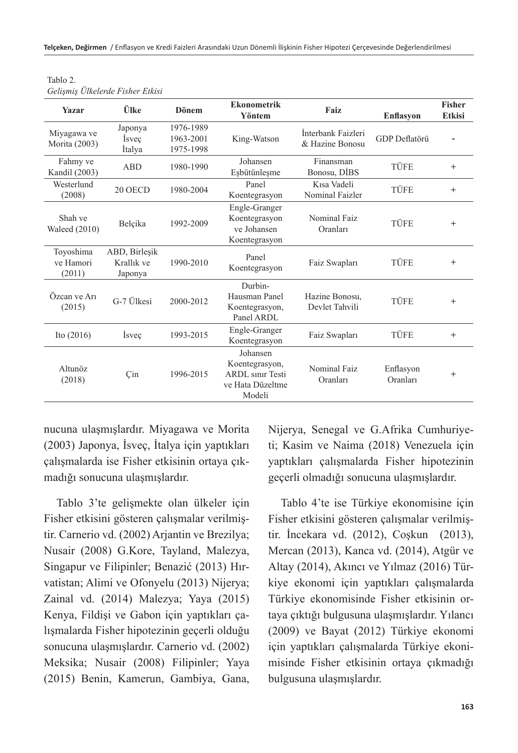| <b>Yazar</b>                     | Ülke                                   | <b>Dönem</b>                        | <b>Ekonometrik</b><br>Yöntem                                                        | Faiz                                  | <b>Enflasyon</b>      | <b>Fisher</b><br><b>Etkisi</b> |
|----------------------------------|----------------------------------------|-------------------------------------|-------------------------------------------------------------------------------------|---------------------------------------|-----------------------|--------------------------------|
| Miyagawa ve<br>Morita (2003)     | Japonya<br>Isvec<br>Italya             | 1976-1989<br>1963-2001<br>1975-1998 | King-Watson                                                                         | İnterbank Faizleri<br>& Hazine Bonosu | <b>GDP</b> Deflatörü  |                                |
| Fahmy ve<br>Kandil (2003)        | <b>ABD</b>                             | 1980-1990                           | Johansen<br>Eşbütünleşme                                                            | Finansman<br>Bonosu, DIBS             | TÜFE                  | $+$                            |
| Westerlund<br>(2008)             | 20 OECD                                | 1980-2004                           | Panel<br>Koentegrasyon                                                              | Kısa Vadeli<br>Nominal Faizler        | TÜFE                  | $+$                            |
| Shah ve<br><b>Waleed</b> (2010)  | Belçika                                | 1992-2009                           | Engle-Granger<br>Koentegrasyon<br>ve Johansen<br>Koentegrasyon                      | Nominal Faiz<br>Oranları              | TÜFE                  | $+$                            |
| Toyoshima<br>ve Hamori<br>(2011) | ABD, Birlesik<br>Krallık ve<br>Japonya | 1990-2010                           | Panel<br>Koentegrasyon                                                              | Faiz Swapları                         | TÜFE                  | $^{+}$                         |
| Özcan ve Arı<br>(2015)           | G-7 Ülkesi                             | 2000-2012                           | Durbin-<br>Hausman Panel<br>Koentegrasyon,<br>Panel ARDL                            | Hazine Bonosu,<br>Devlet Tahvili      | TÜFE                  | $+$                            |
| Ito $(2016)$                     | Isvec                                  | 1993-2015                           | Engle-Granger<br>Koentegrasyon                                                      | Faiz Swapları                         | TÜFE                  | $^{+}$                         |
| Altunöz<br>(2018)                | Çin                                    | 1996-2015                           | Johansen<br>Koentegrasyon,<br><b>ARDL</b> sinir Testi<br>ve Hata Düzeltme<br>Modeli | Nominal Faiz<br>Oranları              | Enflasyon<br>Oranları | $+$                            |

Tablo 2. *Gelişmiş Ülkelerde Fisher Etkisi*

nucuna ulaşmışlardır. Miyagawa ve Morita (2003) Japonya, İsveç, İtalya için yaptıkları çalışmalarda ise Fisher etkisinin ortaya çıkmadığı sonucuna ulaşmışlardır.

Tablo 3'te gelişmekte olan ülkeler için Fisher etkisini gösteren çalışmalar verilmiştir. Carnerio vd. (2002) Arjantin ve Brezilya; Nusair (2008) G.Kore, Tayland, Malezya, Singapur ve Filipinler; Benazić (2013) Hırvatistan; Alimi ve Ofonyelu (2013) Nijerya; Zainal vd. (2014) Malezya; Yaya (2015) Kenya, Fildişi ve Gabon için yaptıkları çalışmalarda Fisher hipotezinin geçerli olduğu sonucuna ulaşmışlardır. Carnerio vd. (2002) Meksika; Nusair (2008) Filipinler; Yaya (2015) Benin, Kamerun, Gambiya, Gana, Nijerya, Senegal ve G.Afrika Cumhuriyeti; Kasim ve Naima (2018) Venezuela için yaptıkları çalışmalarda Fisher hipotezinin geçerli olmadığı sonucuna ulaşmışlardır.

Tablo 4'te ise Türkiye ekonomisine için Fisher etkisini gösteren çalışmalar verilmiştir. İncekara vd. (2012), Coşkun (2013), Mercan (2013), Kanca vd. (2014), Atgür ve Altay (2014), Akıncı ve Yılmaz (2016) Türkiye ekonomi için yaptıkları çalışmalarda Türkiye ekonomisinde Fisher etkisinin ortaya çıktığı bulgusuna ulaşmışlardır. Yılancı (2009) ve Bayat (2012) Türkiye ekonomi için yaptıkları çalışmalarda Türkiye ekonimisinde Fisher etkisinin ortaya çıkmadığı bulgusuna ulaşmışlardır.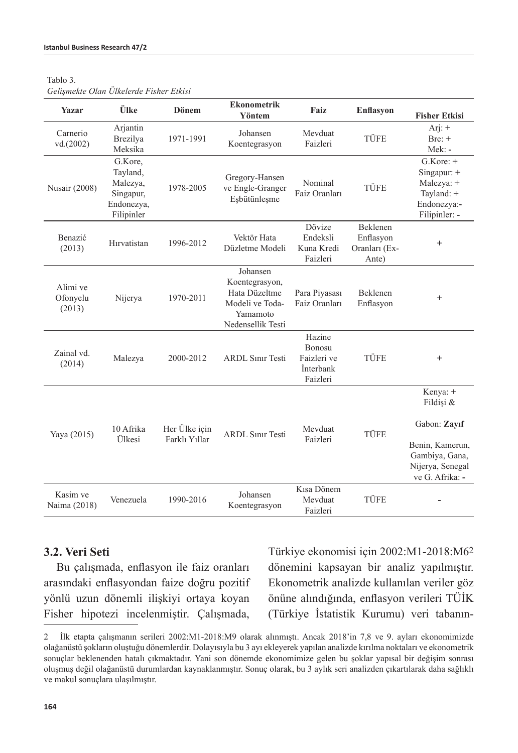| яг<br>ນເ<br>٠ |  |
|---------------|--|
|---------------|--|

| Yazar                          | Ülke                                                                     | Dönem         | <b>Ekonometrik</b><br>Yöntem                                                                    | Faiz                                                     | <b>Enflasyon</b>                                | <b>Fisher Etkisi</b>                                                                   |
|--------------------------------|--------------------------------------------------------------------------|---------------|-------------------------------------------------------------------------------------------------|----------------------------------------------------------|-------------------------------------------------|----------------------------------------------------------------------------------------|
| Carnerio<br>vd.(2002)          | Arjantin<br>Brezilya<br>Meksika                                          | 1971-1991     | Johansen<br>Koentegrasyon                                                                       | Mevduat<br>Faizleri                                      | TÜFE                                            | Arj: $+$<br>$Bre: +$<br>Mek: -                                                         |
| <b>Nusair</b> (2008)           | G.Kore.<br>Tayland,<br>Malezya,<br>Singapur,<br>Endonezya,<br>Filipinler | 1978-2005     | Gregory-Hansen<br>ve Engle-Granger<br>Eşbütünleşme                                              | Nominal<br>Faiz Oranları                                 | TÜFE                                            | $G.Kore: +$<br>Singapur: +<br>Malezya: +<br>Tayland: +<br>Endonezya:-<br>Filipinler: - |
| Benazić<br>(2013)              | Hırvatistan                                                              | 1996-2012     | Vektör Hata<br>Düzletme Modeli                                                                  | Dövize<br>Endeksli<br>Kuna Kredi<br>Faizleri             | Beklenen<br>Enflasyon<br>Oranları (Ex-<br>Ante) | $^{+}$                                                                                 |
| Alimi ve<br>Ofonyelu<br>(2013) | Nijerya                                                                  | 1970-2011     | Johansen<br>Koentegrasyon,<br>Hata Düzeltme<br>Modeli ve Toda-<br>Yamamoto<br>Nedensellik Testi | Para Piyasası<br>Faiz Oranları                           | Beklenen<br>Enflasyon                           | $^{+}$                                                                                 |
| Zainal vd.<br>(2014)           | Malezya                                                                  | 2000-2012     | <b>ARDL Sinir Testi</b>                                                                         | Hazine<br>Bonosu<br>Faizleri ve<br>İnterbank<br>Faizleri | <b>TÜFE</b>                                     | $^{+}$                                                                                 |
|                                | 10 Afrika                                                                | Her Ülke için |                                                                                                 | Mevduat                                                  |                                                 | Kenya: +<br>Fildisi &<br>Gabon: Zayıf                                                  |
| Yaya (2015)                    | Ülkesi                                                                   | Farklı Yıllar | <b>ARDL Sinir Testi</b>                                                                         | Faizleri                                                 | TÜFE                                            | Benin, Kamerun,<br>Gambiya, Gana,<br>Nijerya, Senegal<br>ve G. Afrika: -               |
| Kasim ve<br>Naima (2018)       | Venezuela                                                                | 1990-2016     | Johansen<br>Koentegrasyon                                                                       | Kısa Dönem<br>Mevduat<br>Faizleri                        | TÜFE                                            |                                                                                        |

#### *Gelişmekte Olan Ülkelerde Fisher Etkisi*

#### **3.2. Veri Seti**

Bu çalışmada, enflasyon ile faiz oranları arasındaki enflasyondan faize doğru pozitif yönlü uzun dönemli ilişkiyi ortaya koyan Fisher hipotezi incelenmiştir. Çalışmada, Türkiye ekonomisi için 2002:M1-2018:M62 dönemini kapsayan bir analiz yapılmıştır. Ekonometrik analizde kullanılan veriler göz önüne alındığında, enflasyon verileri TÜİK (Türkiye İstatistik Kurumu) veri tabanın-

<sup>2</sup> İlk etapta çalışmanın serileri 2002:M1-2018:M9 olarak alınmıştı. Ancak 2018'in 7,8 ve 9. ayları ekonomimizde olağanüstü şokların oluştuğu dönemlerdir. Dolayısıyla bu 3 ayı ekleyerek yapılan analizde kırılma noktaları ve ekonometrik sonuçlar beklenenden hatalı çıkmaktadır. Yani son dönemde ekonomimize gelen bu şoklar yapısal bir değişim sonrası oluşmuş değil olağanüstü durumlardan kaynaklanmıştır. Sonuç olarak, bu 3 aylık seri analizden çıkartılarak daha sağlıklı ve makul sonuçlara ulaşılmıştır.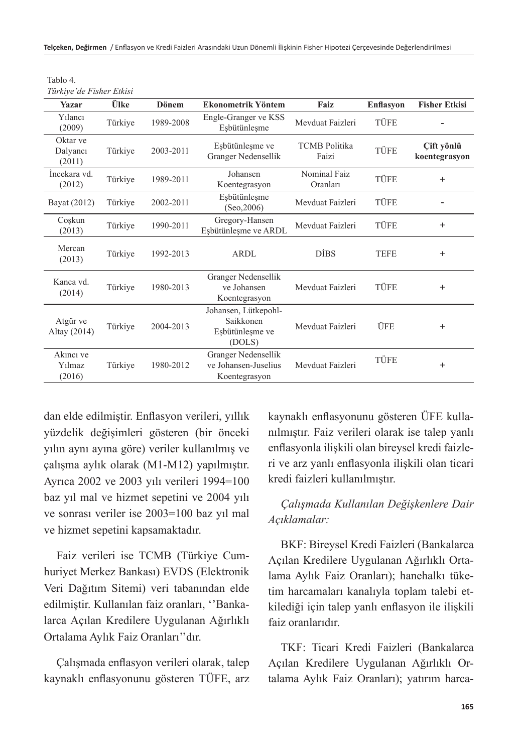| Tablo 4.                 |  |
|--------------------------|--|
| Türkiye'de Fisher Etkisi |  |

| Yazar                          | Ülke    | <b>Dönem</b> | <b>Ekonometrik Yöntem</b>                                      | Faiz                          | <b>Enflasyon</b> | <b>Fisher Etkisi</b>        |
|--------------------------------|---------|--------------|----------------------------------------------------------------|-------------------------------|------------------|-----------------------------|
| Yılancı<br>(2009)              | Türkiye | 1989-2008    | Engle-Granger ve KSS<br>Esbütünleşme                           | Mevduat Faizleri              | TÜFE             |                             |
| Oktar ve<br>Dalyancı<br>(2011) | Türkiye | 2003-2011    | Esbütünleşme ve<br>Granger Nedensellik                         | <b>TCMB</b> Politika<br>Faizi | TÜFE             | Cift yönlü<br>koentegrasyon |
| İncekara vd.<br>(2012)         | Türkiye | 1989-2011    | Johansen<br>Koentegrasyon                                      | Nominal Faiz<br>Oranları      | TÜFE             | $^{+}$                      |
| Bayat (2012)                   | Türkiye | 2002-2011    | Esbütünleşme<br>(Seo, 2006)                                    | Mevduat Faizleri              | TÜFE             |                             |
| Coşkun<br>(2013)               | Türkiye | 1990-2011    | Gregory-Hansen<br>Esbütünleşme ve ARDL                         | Mevduat Faizleri              | TÜFE             | $^{+}$                      |
| Mercan<br>(2013)               | Türkiye | 1992-2013    | <b>ARDL</b>                                                    | <b>DIBS</b>                   | <b>TEFE</b>      | $^{+}$                      |
| Kanca vd.<br>(2014)            | Türkiye | 1980-2013    | Granger Nedensellik<br>ve Johansen<br>Koentegrasyon            | Mevduat Faizleri              | TÜFE             | $^{+}$                      |
| Atgür ve<br>Altay (2014)       | Türkiye | 2004-2013    | Johansen, Lütkepohl-<br>Saikkonen<br>Esbütünleşme ve<br>(DOLS) | Mevduat Faizleri              | ÜFE              | $^{+}$                      |
| Akinci ve<br>Yılmaz<br>(2016)  | Türkiye | 1980-2012    | Granger Nedensellik<br>ve Johansen-Juselius<br>Koentegrasyon   | Mevduat Faizleri              | TÜFE             | $^{+}$                      |

dan elde edilmiştir. Enflasyon verileri, yıllık yüzdelik değişimleri gösteren (bir önceki yılın aynı ayına göre) veriler kullanılmış ve çalışma aylık olarak (M1-M12) yapılmıştır. Ayrıca 2002 ve 2003 yılı verileri 1994=100 baz yıl mal ve hizmet sepetini ve 2004 yılı ve sonrası veriler ise 2003=100 baz yıl mal ve hizmet sepetini kapsamaktadır.

Faiz verileri ise TCMB (Türkiye Cumhuriyet Merkez Bankası) EVDS (Elektronik Veri Dağıtım Sitemi) veri tabanından elde edilmiştir. Kullanılan faiz oranları, ''Bankalarca Açılan Kredilere Uygulanan Ağırlıklı Ortalama Aylık Faiz Oranları''dır.

Çalışmada enflasyon verileri olarak, talep kaynaklı enflasyonunu gösteren TÜFE, arz kaynaklı enflasyonunu gösteren ÜFE kullanılmıştır. Faiz verileri olarak ise talep yanlı enflasyonla ilişkili olan bireysel kredi faizleri ve arz yanlı enflasyonla ilişkili olan ticari kredi faizleri kullanılmıştır.

### *Çalışmada Kullanılan Değişkenlere Dair Açıklamalar:*

BKF: Bireysel Kredi Faizleri (Bankalarca Açılan Kredilere Uygulanan Ağırlıklı Ortalama Aylık Faiz Oranları); hanehalkı tüketim harcamaları kanalıyla toplam talebi etkilediği için talep yanlı enflasyon ile ilişkili faiz oranlarıdır.

TKF: Ticari Kredi Faizleri (Bankalarca Açılan Kredilere Uygulanan Ağırlıklı Ortalama Aylık Faiz Oranları); yatırım harca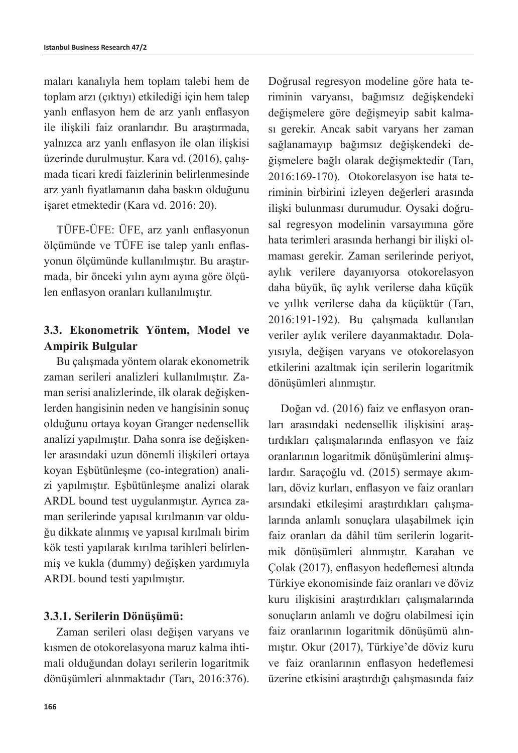maları kanalıyla hem toplam talebi hem de toplam arzı (çıktıyı) etkilediği için hem talep yanlı enflasyon hem de arz yanlı enflasyon ile ilişkili faiz oranlarıdır. Bu araştırmada, yalnızca arz yanlı enflasyon ile olan ilişkisi üzerinde durulmuştur. Kara vd. (2016), çalışmada ticari kredi faizlerinin belirlenmesinde arz yanlı fiyatlamanın daha baskın olduğunu işaret etmektedir (Kara vd. 2016: 20).

TÜFE-ÜFE: ÜFE, arz yanlı enflasyonun ölçümünde ve TÜFE ise talep yanlı enflasyonun ölçümünde kullanılmıştır. Bu araştırmada, bir önceki yılın aynı ayına göre ölçülen enflasyon oranları kullanılmıştır.

### **3.3. Ekonometrik Yöntem, Model ve Ampirik Bulgular**

Bu çalışmada yöntem olarak ekonometrik zaman serileri analizleri kullanılmıştır. Zaman serisi analizlerinde, ilk olarak değişkenlerden hangisinin neden ve hangisinin sonuç olduğunu ortaya koyan Granger nedensellik analizi yapılmıştır. Daha sonra ise değişkenler arasındaki uzun dönemli ilişkileri ortaya koyan Eşbütünleşme (co-integration) analizi yapılmıştır. Eşbütünleşme analizi olarak ARDL bound test uygulanmıştır. Ayrıca zaman serilerinde yapısal kırılmanın var olduğu dikkate alınmış ve yapısal kırılmalı birim kök testi yapılarak kırılma tarihleri belirlenmiş ve kukla (dummy) değişken yardımıyla ARDL bound testi yapılmıştır.

### **3.3.1. Serilerin Dönüşümü:**

Zaman serileri olası değişen varyans ve kısmen de otokorelasyona maruz kalma ihtimali olduğundan dolayı serilerin logaritmik dönüşümleri alınmaktadır (Tarı, 2016:376). Doğrusal regresyon modeline göre hata teriminin varyansı, bağımsız değişkendeki değişmelere göre değişmeyip sabit kalması gerekir. Ancak sabit varyans her zaman sağlanamayıp bağımsız değişkendeki değişmelere bağlı olarak değişmektedir (Tarı, 2016:169-170). Otokorelasyon ise hata teriminin birbirini izleyen değerleri arasında ilişki bulunması durumudur. Oysaki doğrusal regresyon modelinin varsayımına göre hata terimleri arasında herhangi bir ilişki olmaması gerekir. Zaman serilerinde periyot, aylık verilere dayanıyorsa otokorelasyon daha büyük, üç aylık verilerse daha küçük ve yıllık verilerse daha da küçüktür (Tarı, 2016:191-192). Bu çalışmada kullanılan veriler aylık verilere dayanmaktadır. Dolayısıyla, değişen varyans ve otokorelasyon etkilerini azaltmak için serilerin logaritmik dönüşümleri alınmıştır.

Doğan vd. (2016) faiz ve enflasyon oranları arasındaki nedensellik ilişkisini araştırdıkları çalışmalarında enflasyon ve faiz oranlarının logaritmik dönüşümlerini almışlardır. Saraçoğlu vd. (2015) sermaye akımları, döviz kurları, enflasyon ve faiz oranları arsındaki etkileşimi araştırdıkları çalışmalarında anlamlı sonuçlara ulaşabilmek için faiz oranları da dâhil tüm serilerin logaritmik dönüşümleri alınmıştır. Karahan ve Çolak (2017), enflasyon hedeflemesi altında Türkiye ekonomisinde faiz oranları ve döviz kuru ilişkisini araştırdıkları çalışmalarında sonuçların anlamlı ve doğru olabilmesi için faiz oranlarının logaritmik dönüşümü alınmıştır. Okur (2017), Türkiye'de döviz kuru ve faiz oranlarının enflasyon hedeflemesi üzerine etkisini araştırdığı çalışmasında faiz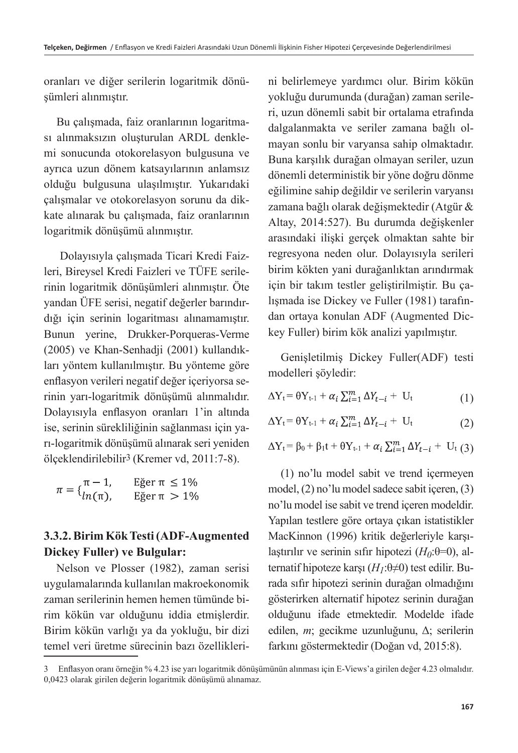oranları ve diğer serilerin logaritmik dönüşümleri alınmıştır.

Bu çalışmada, faiz oranlarının logaritması alınmaksızın oluşturulan ARDL denklemi sonucunda otokorelasyon bulgusuna ve ayrıca uzun dönem katsayılarının anlamsız olduğu bulgusuna ulaşılmıştır. Yukarıdaki çalışmalar ve otokorelasyon sorunu da dikkate alınarak bu çalışmada, faiz oranlarının logaritmik dönüşümü alınmıştır.

 Dolayısıyla çalışmada Ticari Kredi Faizleri, Bireysel Kredi Faizleri ve TÜFE serilerinin logaritmik dönüşümleri alınmıştır. Öte yandan ÜFE serisi, negatif değerler barındırdığı için serinin logaritması alınamamıştır. Bunun yerine, Drukker-Porqueras-Verme (2005) ve Khan-Senhadji (2001) kullandıkları yöntem kullanılmıştır. Bu yönteme göre enflasyon verileri negatif değer içeriyorsa serinin yarı-logaritmik dönüşümü alınmalıdır. Dolayısıyla enflasyon oranları 1'in altında ise, serinin sürekliliğinin sağlanması için yarı-logaritmik dönüşümü alınarak seri yeniden ölçeklendirilebilir3 (Kremer vd, 2011:7-8).

|                                      | Eğer $\pi \leq 1\%$ |
|--------------------------------------|---------------------|
| $\pi = \{\frac{\pi - 1}{ln(\pi)},\}$ | Eğer $\pi > 1\%$    |

### **3.3.2. Birim Kök Testi (ADF-Augmented Dickey Fuller) ve Bulgular:**

Nelson ve Plosser (1982), zaman serisi uygulamalarında kullanılan makroekonomik zaman serilerinin hemen hemen tümünde birim kökün var olduğunu iddia etmişlerdir. Birim kökün varlığı ya da yokluğu, bir dizi temel veri üretme sürecinin bazı özelliklerini belirlemeye yardımcı olur. Birim kökün yokluğu durumunda (durağan) zaman serileri, uzun dönemli sabit bir ortalama etrafında dalgalanmakta ve seriler zamana bağlı olmayan sonlu bir varyansa sahip olmaktadır. Buna karşılık durağan olmayan seriler, uzun dönemli deterministik bir yöne doğru dönme eğilimine sahip değildir ve serilerin varyansı zamana bağlı olarak değişmektedir (Atgür & Altay, 2014:527). Bu durumda değişkenler arasındaki ilişki gerçek olmaktan sahte bir regresyona neden olur. Dolayısıyla serileri birim kökten yani durağanlıktan arındırmak için bir takım testler geliştirilmiştir. Bu çalışmada ise Dickey ve Fuller (1981) tarafından ortaya konulan ADF (Augmented Dickey Fuller) birim kök analizi yapılmıştır.

Genişletilmiş Dickey Fuller(ADF) testi modelleri şöyledir:

$$
\Delta Y_t = \theta Y_{t-1} + \alpha_i \sum_{i=1}^m \Delta Y_{t-i} + U_t \tag{1}
$$

$$
\Delta Y_t = \theta Y_{t-1} + \alpha_i \sum_{i=1}^m \Delta Y_{t-i} + U_t \tag{2}
$$

 $\Delta Y_t = \beta_0 + \beta_1 t + \theta Y_{t-1} + \alpha_i \sum_{i=1}^m \Delta Y_{t-i} + U_t (3)$ 

(1) no'lu model sabit ve trend içermeyen model, (2) no'lu model sadece sabit içeren, (3) no'lu model ise sabit ve trend içeren modeldir. Yapılan testlere göre ortaya çıkan istatistikler MacKinnon (1996) kritik değerleriyle karşılaştırılır ve serinin sıfır hipotezi  $(H_0:\theta=0)$ , alternatif hipoteze karşı (*H1*:θ≠0) test edilir. Burada sıfır hipotezi serinin durağan olmadığını gösterirken alternatif hipotez serinin durağan olduğunu ifade etmektedir. Modelde ifade edilen, *m*; gecikme uzunluğunu, Δ; serilerin farkını göstermektedir (Doğan vd, 2015:8).

<sup>3</sup> Enflasyon oranı örneğin % 4.23 ise yarı logaritmik dönüşümünün alınması için E-Views'a girilen değer 4.23 olmalıdır. 0,0423 olarak girilen değerin logaritmik dönüşümü alınamaz.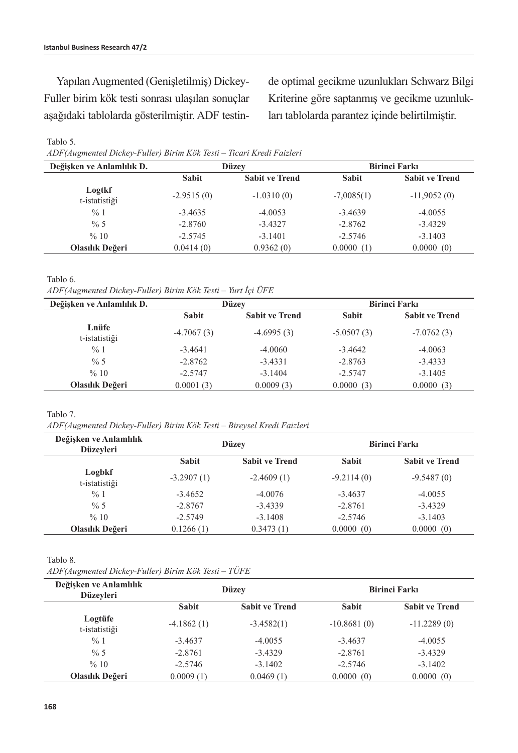Yapılan Augmented (Genişletilmiş) Dickey-Fuller birim kök testi sonrası ulaşılan sonuçlar aşağıdaki tablolarda gösterilmiştir. ADF testinde optimal gecikme uzunlukları Schwarz Bilgi Kriterine göre saptanmış ve gecikme uzunlukları tablolarda parantez içinde belirtilmiştir.

#### Tablo 5.

*ADF(Augmented Dickey-Fuller) Birim Kök Testi – Ticari Kredi Faizleri*

| Değişken ve Anlamlılık D. | Düzey        |                       | <b>Birinci Farki</b> |                       |  |
|---------------------------|--------------|-----------------------|----------------------|-----------------------|--|
|                           | <b>Sabit</b> | <b>Sabit ve Trend</b> | <b>Sabit</b>         | <b>Sabit ve Trend</b> |  |
| Logtkf<br>t-istatistiği   | $-2.9515(0)$ | $-1.0310(0)$          | $-7,0085(1)$         | $-11,9052(0)$         |  |
| %1                        | $-3.4635$    | $-4.0053$             | $-3.4639$            | $-4.0055$             |  |
| $\% 5$                    | $-2.8760$    | $-3.4327$             | $-2.8762$            | $-3.4329$             |  |
| %10                       | $-2.5745$    | $-3.1401$             | $-2.5746$            | $-3.1403$             |  |
| Olasılık Değeri           | 0.0414(0)    | 0.9362(0)             | 0.0000(1)            | 0.0000(0)             |  |

Tablo 6.

*ADF(Augmented Dickey-Fuller) Birim Kök Testi – Yurt İçi ÜFE*

| Değişken ve Anlamlılık D. | Düzey        |                       | <b>Birinci Farki</b> |                       |
|---------------------------|--------------|-----------------------|----------------------|-----------------------|
|                           | <b>Sabit</b> | <b>Sabit ve Trend</b> | <b>Sabit</b>         | <b>Sabit ve Trend</b> |
| Lnüfe<br>t-istatistiği    | $-4.7067(3)$ | $-4.6995(3)$          | $-5.0507(3)$         | $-7.0762(3)$          |
| %1                        | $-3.4641$    | $-4.0060$             | $-3.4642$            | $-4.0063$             |
| $\% 5$                    | $-2.8762$    | $-3.4331$             | $-2.8763$            | $-3.4333$             |
| %10                       | $-2.5747$    | $-3.1404$             | $-2.5747$            | $-3.1405$             |
| Olasılık Değeri           | 0.0001(3)    | 0.0009(3)             | 0.0000(3)            | 0.0000(3)             |

#### Tablo 7.

*ADF(Augmented Dickey-Fuller) Birim Kök Testi – Bireysel Kredi Faizleri*

| Değişken ve Anlamlılık<br><b>Düzevleri</b> | <b>Düzev</b> |                       | <b>Birinci Farki</b> |                       |  |
|--------------------------------------------|--------------|-----------------------|----------------------|-----------------------|--|
|                                            | <b>Sabit</b> | <b>Sabit ve Trend</b> | <b>Sabit</b>         | <b>Sabit ve Trend</b> |  |
| Logbkf<br>t-istatistiği                    | $-3.2907(1)$ | $-2.4609(1)$          | $-9.2114(0)$         | $-9.5487(0)$          |  |
| $\frac{9}{6}$ 1                            | $-3.4652$    | $-4.0076$             | $-3.4637$            | $-4.0055$             |  |
| $\% 5$                                     | $-2.8767$    | $-3.4339$             | $-2.8761$            | $-3.4329$             |  |
| %10                                        | $-2.5749$    | $-3.1408$             | $-2.5746$            | $-3.1403$             |  |
| Olasılık Değeri                            | 0.1266(1)    | 0.3473(1)             | 0.0000(0)            | 0.0000(0)             |  |

#### Tablo 8.

*ADF(Augmented Dickey-Fuller) Birim Kök Testi – TÜFE*

| Değişken ve Anlamlılık<br><b>Düzevleri</b> | <b>Düzev</b> |                       | <b>Birinci Farki</b> |                       |  |
|--------------------------------------------|--------------|-----------------------|----------------------|-----------------------|--|
|                                            | <b>Sabit</b> | <b>Sabit ve Trend</b> | <b>Sabit</b>         | <b>Sabit ve Trend</b> |  |
| Logtüfe<br>t-istatistiği                   | $-4.1862(1)$ | $-3.4582(1)$          | $-10.8681(0)$        | $-11.2289(0)$         |  |
| $\frac{9}{6}$ 1                            | $-3.4637$    | $-4.0055$             | $-3.4637$            | $-4.0055$             |  |
| $\frac{9}{6}$ 5                            | $-2.8761$    | $-3.4329$             | $-2.8761$            | $-3.4329$             |  |
| %10                                        | $-2.5746$    | $-3.1402$             | $-2.5746$            | $-3.1402$             |  |
| Olasılık Değeri                            | 0.0009(1)    | 0.0469(1)             | 0.0000(0)            | 0.0000(0)             |  |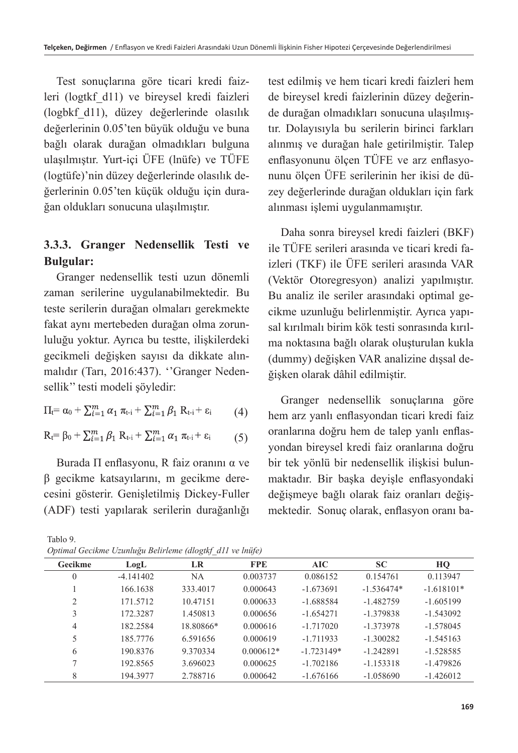Test sonuçlarına göre ticari kredi faizleri (logtkf\_d11) ve bireysel kredi faizleri (logbkf\_d11), düzey değerlerinde olasılık değerlerinin 0.05'ten büyük olduğu ve buna bağlı olarak durağan olmadıkları bulguna ulaşılmıştır. Yurt-içi ÜFE (lnüfe) ve TÜFE (logtüfe)'nin düzey değerlerinde olasılık değerlerinin 0.05'ten küçük olduğu için durağan oldukları sonucuna ulaşılmıştır.

### **3.3.3. Granger Nedensellik Testi ve Bulgular:**

Granger nedensellik testi uzun dönemli zaman serilerine uygulanabilmektedir. Bu teste serilerin durağan olmaları gerekmekte fakat aynı mertebeden durağan olma zorunluluğu yoktur. Ayrıca bu testte, ilişkilerdeki gecikmeli değişken sayısı da dikkate alınmalıdır (Tarı, 2016:437). ''Granger Nedensellik'' testi modeli şöyledir:

$$
\Pi_{t} = \alpha_{0} + \sum_{i=1}^{m} \alpha_{1} \pi_{t-i} + \sum_{i=1}^{m} \beta_{1} R_{t-i} + \varepsilon_{i} \qquad (4)
$$

$$
R_{t} = \beta_{0} + \sum_{i=1}^{m} \beta_{1} R_{t-i} + \sum_{i=1}^{m} \alpha_{1} \pi_{t-i} + \varepsilon_{i}
$$
 (5)

Burada Π enflasyonu, R faiz oranını α ve β gecikme katsayılarını, m gecikme derecesini gösterir. Genişletilmiş Dickey-Fuller (ADF) testi yapılarak serilerin durağanlığı

Tablo 9. *Optimal Gecikme Uzunluğu Belirleme (dlogtkf\_d11 ve lnüfe)*

test edilmiş ve hem ticari kredi faizleri hem de bireysel kredi faizlerinin düzey değerinde durağan olmadıkları sonucuna ulaşılmıştır. Dolayısıyla bu serilerin birinci farkları alınmış ve durağan hale getirilmiştir. Talep enflasyonunu ölçen TÜFE ve arz enflasyonunu ölçen ÜFE serilerinin her ikisi de düzey değerlerinde durağan oldukları için fark alınması işlemi uygulanmamıştır.

Daha sonra bireysel kredi faizleri (BKF) ile TÜFE serileri arasında ve ticari kredi faizleri (TKF) ile ÜFE serileri arasında VAR (Vektör Otoregresyon) analizi yapılmıştır. Bu analiz ile seriler arasındaki optimal gecikme uzunluğu belirlenmiştir. Ayrıca yapısal kırılmalı birim kök testi sonrasında kırılma noktasına bağlı olarak oluşturulan kukla (dummy) değişken VAR analizine dışsal değişken olarak dâhil edilmiştir.

Granger nedensellik sonuçlarına göre hem arz yanlı enflasyondan ticari kredi faiz oranlarına doğru hem de talep yanlı enflasyondan bireysel kredi faiz oranlarına doğru bir tek yönlü bir nedensellik ilişkisi bulunmaktadır. Bir başka deyişle enflasyondaki değişmeye bağlı olarak faiz oranları değişmektedir. Sonuç olarak, enflasyon oranı ba-

| Opumai Gecinine Ozunugu betirleme (alogin) u11 ve maje) |             |           |             |              |              |              |
|---------------------------------------------------------|-------------|-----------|-------------|--------------|--------------|--------------|
| Gecikme                                                 | LogL        | LR        | <b>FPE</b>  | AIC          | <b>SC</b>    | HO           |
| 0                                                       | $-4.141402$ | NА        | 0.003737    | 0.086152     | 0.154761     | 0.113947     |
|                                                         | 166.1638    | 333.4017  | 0.000643    | $-1.673691$  | $-1.536474*$ | $-1.618101*$ |
| 2                                                       | 171.5712    | 10.47151  | 0.000633    | $-1.688584$  | $-1.482759$  | $-1.605199$  |
| 3                                                       | 172.3287    | 1.450813  | 0.000656    | $-1.654271$  | $-1.379838$  | $-1.543092$  |
| 4                                                       | 182.2584    | 18.80866* | 0.000616    | $-1.717020$  | $-1.373978$  | $-1.578045$  |
|                                                         | 185.7776    | 6.591656  | 0.000619    | $-1.711933$  | $-1.300282$  | $-1.545163$  |
| 6                                                       | 190.8376    | 9.370334  | $0.000612*$ | $-1.723149*$ | $-1.242891$  | $-1.528585$  |
|                                                         | 192.8565    | 3.696023  | 0.000625    | $-1.702186$  | $-1.153318$  | $-1.479826$  |
| 8                                                       | 194.3977    | 2.788716  | 0.000642    | $-1.676166$  | $-1.058690$  | $-1.426012$  |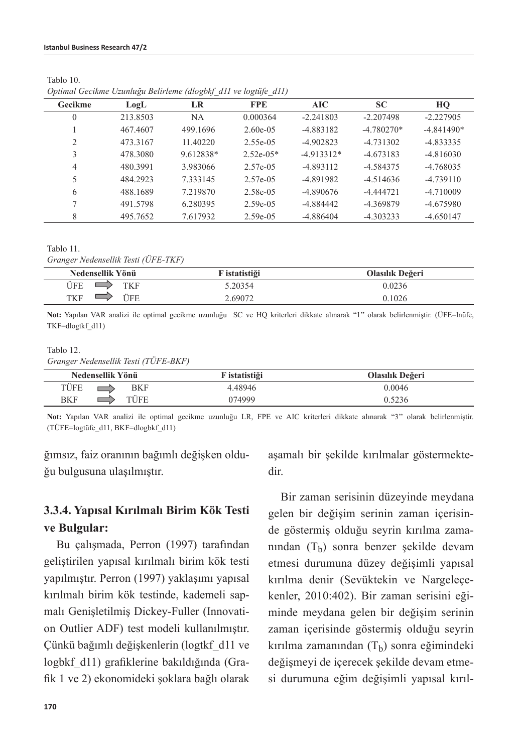|                |          | $\sim$ $-$ |              |              |              |              |
|----------------|----------|------------|--------------|--------------|--------------|--------------|
| Gecikme        | LogL     | LR         | <b>FPE</b>   | AIC          | SC           | HQ           |
| 0              | 213.8503 | NA         | 0.000364     | $-2.241803$  | $-2.207498$  | $-2.227905$  |
|                | 467.4607 | 499.1696   | $2.60e-0.5$  | $-4.883182$  | $-4.780270*$ | $-4.841490*$ |
| $\mathfrak{D}$ | 473.3167 | 11.40220   | 2.55e-05     | $-4.902823$  | $-4.731302$  | $-4.833335$  |
|                | 478.3080 | 9.612838*  | $2.52e-0.5*$ | $-4.913312*$ | $-4.673183$  | $-4.816030$  |
| 4              | 480.3991 | 3.983066   | 2.57e-05     | $-4.893112$  | $-4.584375$  | $-4.768035$  |
|                | 484.2923 | 7.333145   | $2.57e-0.5$  | $-4.891982$  | $-4.514636$  | $-4.739110$  |
| 6              | 488.1689 | 7.219870   | 2.58e-05     | $-4.890676$  | $-4.444721$  | $-4.710009$  |
|                | 491.5798 | 6.280395   | $2.59e-0.5$  | $-4.884442$  | -4.369879    | $-4.675980$  |
| 8              | 495.7652 | 7.617932   | $2.59e-0.5$  | $-4.886404$  | $-4.303233$  | $-4.650147$  |

Tablo 10. *Optimal Gecikme Uzunluğu Belirleme (dlogbkf\_d11 ve logtüfe\_d11)*

Tablo 11.

*Granger Nedensellik Testi (ÜFE-TKF)*

| Nedensellik Yönü   | F istatistiği | Olasılık Değeri |
|--------------------|---------------|-----------------|
| ÜFE<br>TKF         | 5.20354       | 0.0236          |
| 'TFE<br><b>TKF</b> | 2.69072       | 0.1026          |

**Not:** Yapılan VAR analizi ile optimal gecikme uzunluğu SC ve HQ kriterleri dikkate alınarak "1'' olarak belirlenmiştir. (ÜFE=lnüfe, TKF=dlogtkf\_d11)

#### Tablo 12.

*Granger Nedensellik Testi (TÜFE-BKF)*

| Nedensellik Yönü   | F istatistiği | Olasılık Değeri |
|--------------------|---------------|-----------------|
| TÜFE<br><b>BKF</b> | 4.48946       | 0.0046          |
| TÜFE<br>BKF        | 074999        | 0.5236          |

**Not:** Yapılan VAR analizi ile optimal gecikme uzunluğu LR, FPE ve AIC kriterleri dikkate alınarak "3'' olarak belirlenmiştir. (TÜFE=logtüfe\_d11, BKF=dlogbkf\_d11)

ğımsız, faiz oranının bağımlı değişken olduğu bulgusuna ulaşılmıştır.

### **3.3.4. Yapısal Kırılmalı Birim Kök Testi ve Bulgular:**

Bu çalışmada, Perron (1997) tarafından geliştirilen yapısal kırılmalı birim kök testi yapılmıştır. Perron (1997) yaklaşımı yapısal kırılmalı birim kök testinde, kademeli sapmalı Genişletilmiş Dickey-Fuller (Innovation Outlier ADF) test modeli kullanılmıştır. Çünkü bağımlı değişkenlerin (logtkf\_d11 ve logbkf\_d11) grafiklerine bakıldığında (Grafik 1 ve 2) ekonomideki şoklara bağlı olarak aşamalı bir şekilde kırılmalar göstermektedir.

Bir zaman serisinin düzeyinde meydana gelen bir değişim serinin zaman içerisinde göstermiş olduğu seyrin kırılma zamanından  $(T<sub>b</sub>)$  sonra benzer şekilde devam etmesi durumuna düzey değişimli yapısal kırılma denir (Sevüktekin ve Nargeleçekenler, 2010:402). Bir zaman serisini eğiminde meydana gelen bir değişim serinin zaman içerisinde göstermiş olduğu seyrin kırılma zamanından  $(T_h)$  sonra eğimindeki değişmeyi de içerecek şekilde devam etmesi durumuna eğim değişimli yapısal kırıl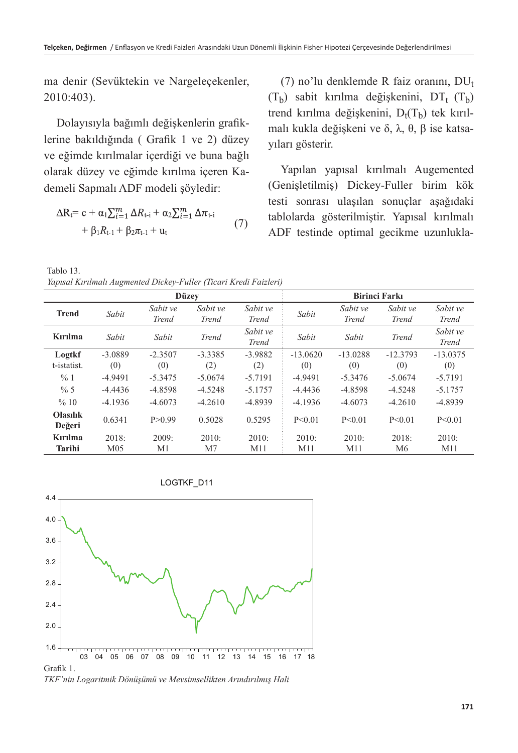ma denir (Sevüktekin ve Nargeleçekenler, 2010:403).

Dolayısıyla bağımlı değişkenlerin grafiklerine bakıldığında ( Grafik 1 ve 2) düzey ve eğimde kırılmalar içerdiği ve buna bağlı olarak düzey ve eğimde kırılma içeren Kademeli Sapmalı ADF modeli şöyledir:

$$
\Delta R_i = c + \alpha_1 \sum_{i=1}^m \Delta R_{i-i} + \alpha_2 \sum_{i=1}^m \Delta \pi_{i-i} + \beta_1 R_{i-1} + \beta_2 \pi_{i-1} + u_i
$$
 (7)

(7) no'lu denklemde R faiz oranını,  $DU_{t}$  $(T<sub>b</sub>)$  sabit kırılma değişkenini, DT<sub>t</sub>  $(T<sub>b</sub>)$ trend kırılma değişkenini,  $D_f(T_b)$  tek kırılmalı kukla değişkeni ve δ, λ, θ, β ise katsayıları gösterir.

Yapılan yapısal kırılmalı Augemented (Genişletilmiş) Dickey-Fuller birim kök testi sonrası ulaşılan sonuçlar aşağıdaki tablolarda gösterilmiştir. Yapısal kırılmalı ADF testinde optimal gecikme uzunlukla-

Tablo 13.

*Yapısal Kırılmalı Augmented Dickey-Fuller (Ticari Kredi Faizleri)*

| <b>Düzev</b>              |                 |                          |                          | <b>Birinci Farkı</b>     |            |                          |                          |                          |
|---------------------------|-----------------|--------------------------|--------------------------|--------------------------|------------|--------------------------|--------------------------|--------------------------|
| <b>Trend</b>              | Sabit           | Sabit ve<br><b>Trend</b> | Sabit ve<br><b>Trend</b> | Sabit ve<br><b>Trend</b> | Sabit      | Sabit ve<br><b>Trend</b> | Sabit ve<br><b>Trend</b> | Sabit ve<br><b>Trend</b> |
| Kırılma                   | Sabit           | Sabit                    | <b>Trend</b>             | Sabit ve<br><b>Trend</b> | Sabit      | Sabit                    | <b>Trend</b>             | Sabit ve<br><b>Trend</b> |
| Logtkf                    | $-3.0889$       | $-2.3507$                | $-3.3385$                | $-3.9882$                | $-13.0620$ | $-13.0288$               | $-12.3793$               | $-13.0375$               |
| t-istatist.               | (0)             | (0)                      | (2)                      | (2)                      | (0)        | (0)                      | (0)                      | (0)                      |
| %1                        | $-4.9491$       | $-5.3475$                | $-5.0674$                | $-5.7191$                | $-4.9491$  | $-5.3476$                | $-5.0674$                | $-5.7191$                |
| $\% 5$                    | $-4.4436$       | $-4.8598$                | $-4.5248$                | $-5.1757$                | $-4.4436$  | $-4.8598$                | $-4.5248$                | $-5.1757$                |
| %10                       | $-4.1936$       | $-4.6073$                | $-4.2610$                | $-4.8939$                | $-4.1936$  | $-4.6073$                | $-4.2610$                | $-4.8939$                |
| <b>Olasilik</b><br>Değeri | 0.6341          | P > 0.99                 | 0.5028                   | 0.5295                   | P < 0.01   | P < 0.01                 | P < 0.01                 | P < 0.01                 |
| Kırılma                   | 2018:           | 2009:                    | 2010:                    | 2010:                    | 2010:      | 2010:                    | 2018:                    | 2010:                    |
| Tarihi                    | M <sub>05</sub> | M1                       | M <sub>7</sub>           | M11                      | M11        | M11                      | M6                       | M11                      |



*TKF'nin Logaritmik Dönüşümü ve Mevsimsellikten Arındırılmış Hali*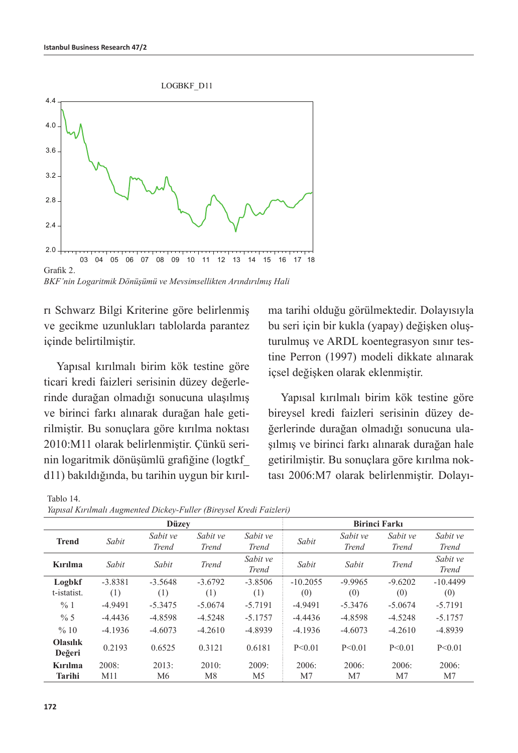

*BKF'nin Logaritmik Dönüşümü ve Mevsimsellikten Arındırılmış Hali*

rı Schwarz Bilgi Kriterine göre belirlenmiş ve gecikme uzunlukları tablolarda parantez içinde belirtilmiştir.

Yapısal kırılmalı birim kök testine göre ticari kredi faizleri serisinin düzey değerlerinde durağan olmadığı sonucuna ulaşılmış ve birinci farkı alınarak durağan hale getirilmiştir. Bu sonuçlara göre kırılma noktası 2010:M11 olarak belirlenmiştir. Çünkü serinin logaritmik dönüşümlü grafiğine (logtkf\_ d11) bakıldığında, bu tarihin uygun bir kırılma tarihi olduğu görülmektedir. Dolayısıyla bu seri için bir kukla (yapay) değişken oluşturulmuş ve ARDL koentegrasyon sınır testine Perron (1997) modeli dikkate alınarak içsel değişken olarak eklenmiştir.

Yapısal kırılmalı birim kök testine göre bireysel kredi faizleri serisinin düzey değerlerinde durağan olmadığı sonucuna ulaşılmış ve birinci farkı alınarak durağan hale getirilmiştir. Bu sonuçlara göre kırılma noktası 2006:M7 olarak belirlenmiştir. Dolayı-

|                           |                  |                          |                          | rapisai Kirilmali Augmentea Dickey-Fuller (Bireysel Kreat Faizleri) |                      |                          |                          |                          |  |
|---------------------------|------------------|--------------------------|--------------------------|---------------------------------------------------------------------|----------------------|--------------------------|--------------------------|--------------------------|--|
|                           |                  | <b>Düzev</b>             |                          |                                                                     | <b>Birinci Farkı</b> |                          |                          |                          |  |
| <b>Trend</b>              | Sabit            | Sabit ve<br><b>Trend</b> | Sabit ve<br><b>Trend</b> | Sabit ve<br><b>Trend</b>                                            | Sabit                | Sabit ve<br><b>Trend</b> | Sabit ve<br><b>Trend</b> | Sabit ve<br><b>Trend</b> |  |
| Kırılma                   | Sabit            | Sabit                    | <b>Trend</b>             | Sabit ve<br><b>Trend</b>                                            | Sabit                | Sabit                    | <b>Trend</b>             | Sabit ve<br><b>Trend</b> |  |
| Logbkf<br>t-istatist.     | $-3.8381$<br>(1) | $-3.5648$<br>(1)         | $-3.6792$<br>(1)         | $-3.8506$<br>(1)                                                    | $-10.2055$<br>(0)    | $-9.9965$<br>(0)         | $-9.6202$<br>(0)         | $-10.4499$<br>(0)        |  |
| %1                        | $-4.9491$        | $-5.3475$                | $-5.0674$                | $-5.7191$                                                           | $-4.9491$            | $-5.3476$                | $-5.0674$                | $-5.7191$                |  |
| % 5                       | $-4.4436$        | $-4.8598$                | $-4.5248$                | $-5.1757$                                                           | $-4.4436$            | $-4.8598$                | $-4.5248$                | $-5.1757$                |  |
| %10                       | $-4.1936$        | $-4.6073$                | $-4.2610$                | $-4.8939$                                                           | $-4.1936$            | $-4.6073$                | $-4.2610$                | $-4.8939$                |  |
| <b>Olasılık</b><br>Değeri | 0.2193           | 0.6525                   | 0.3121                   | 0.6181                                                              | P < 0.01             | P < 0.01                 | P < 0.01                 | P < 0.01                 |  |
| Kırılma                   | 2008:            | 2013:                    | 2010:                    | 2009:                                                               | 2006:                | 2006:                    | 2006:                    | 2006:                    |  |
| <b>Tarihi</b>             | M11              | M <sub>6</sub>           | M8                       | M5                                                                  | M <sub>7</sub>       | M <sub>7</sub>           | M <sub>7</sub>           | M <sub>7</sub>           |  |

*Yapısal Kırılmalı Augmented Dickey-Fuller (Bireysel Kredi Faizleri)*

Tablo 14.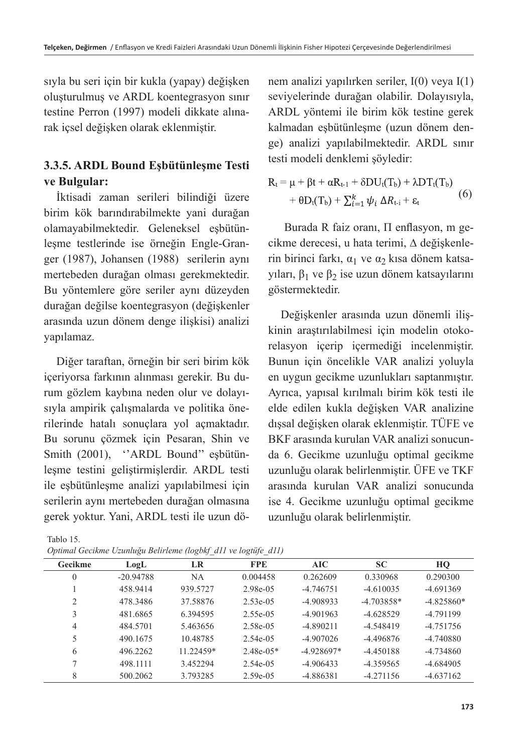sıyla bu seri için bir kukla (yapay) değişken oluşturulmuş ve ARDL koentegrasyon sınır testine Perron (1997) modeli dikkate alınarak içsel değişken olarak eklenmiştir.

### **3.3.5. ARDL Bound Eşbütünleşme Testi ve Bulgular:**

İktisadi zaman serileri bilindiği üzere birim kök barındırabilmekte yani durağan olamayabilmektedir. Geleneksel eşbütünleşme testlerinde ise örneğin Engle-Granger (1987), Johansen (1988) serilerin aynı mertebeden durağan olması gerekmektedir. Bu yöntemlere göre seriler aynı düzeyden durağan değilse koentegrasyon (değişkenler arasında uzun dönem denge ilişkisi) analizi yapılamaz.

Diğer taraftan, örneğin bir seri birim kök içeriyorsa farkının alınması gerekir. Bu durum gözlem kaybına neden olur ve dolayısıyla ampirik çalışmalarda ve politika önerilerinde hatalı sonuçlara yol açmaktadır. Bu sorunu çözmek için Pesaran, Shin ve Smith (2001), "ARDL Bound" esbütünleşme testini geliştirmişlerdir. ARDL testi ile eşbütünleşme analizi yapılabilmesi için serilerin aynı mertebeden durağan olmasına gerek yoktur. Yani, ARDL testi ile uzun dö-

| Tablo 15.                                                      |  |
|----------------------------------------------------------------|--|
| Optimal Gecikme Uzunluğu Belirleme (logbkf d11 ve logtüfe d11) |  |

nem analizi yapılırken seriler, I(0) veya I(1) seviyelerinde durağan olabilir. Dolayısıyla, ARDL yöntemi ile birim kök testine gerek kalmadan eşbütünleşme (uzun dönem denge) analizi yapılabilmektedir. ARDL sınır testi modeli denklemi şöyledir:

$$
R_t = \mu + \beta t + \alpha R_{t-1} + \delta DU_t(T_b) + \lambda DT_t(T_b)
$$
  
+ 
$$
\theta D_t(T_b) + \sum_{i=1}^k \psi_i \Delta R_{t-i} + \epsilon_t
$$
 (6)

 Burada R faiz oranı, Π enflasyon, m gecikme derecesi, u hata terimi, ∆ değişkenlerin birinci farkı, α<sub>1</sub> ve α<sub>2</sub> kısa dönem katsayıları,  $β_1$  ve  $β_2$  ise uzun dönem katsayılarını göstermektedir.

Değişkenler arasında uzun dönemli ilişkinin araştırılabilmesi için modelin otokorelasyon içerip içermediği incelenmiştir. Bunun için öncelikle VAR analizi yoluyla en uygun gecikme uzunlukları saptanmıştır. Ayrıca, yapısal kırılmalı birim kök testi ile elde edilen kukla değişken VAR analizine dışsal değişken olarak eklenmiştir. TÜFE ve BKF arasında kurulan VAR analizi sonucunda 6. Gecikme uzunluğu optimal gecikme uzunluğu olarak belirlenmiştir. ÜFE ve TKF arasında kurulan VAR analizi sonucunda ise 4. Gecikme uzunluğu optimal gecikme uzunluğu olarak belirlenmiştir.

| Gecikme        | LogL        | LR        | <b>FPE</b>   | AIC          | <b>SC</b>    | HO           |
|----------------|-------------|-----------|--------------|--------------|--------------|--------------|
| 0              | $-20.94788$ | NA        | 0.004458     | 0.262609     | 0.330968     | 0.290300     |
|                | 458.9414    | 939.5727  | 2.98e-05     | $-4.746751$  | $-4.610035$  | $-4.691369$  |
| $\mathfrak{D}$ | 478.3486    | 37.58876  | $2.53e-0.5$  | $-4.908933$  | $-4.703858*$ | $-4.825860*$ |
| 3              | 481.6865    | 6.394595  | $2.55e-0.5$  | $-4.901963$  | $-4.628529$  | $-4.791199$  |
| 4              | 484.5701    | 5.463656  | 2.58e-05     | $-4.890211$  | $-4.548419$  | $-4.751756$  |
|                | 490.1675    | 10.48785  | 2.54e-05     | $-4.907026$  | $-4.496876$  | $-4.740880$  |
| 6              | 496.2262    | 11.22459* | $2.48e-0.5*$ | $-4.928697*$ | $-4.450188$  | $-4.734860$  |
|                | 498.1111    | 3.452294  | 2.54e-05     | $-4.906433$  | $-4.359565$  | $-4.684905$  |
| 8              | 500.2062    | 3.793285  | $2.59e-0.5$  | -4.886381    | $-4.271156$  | $-4.637162$  |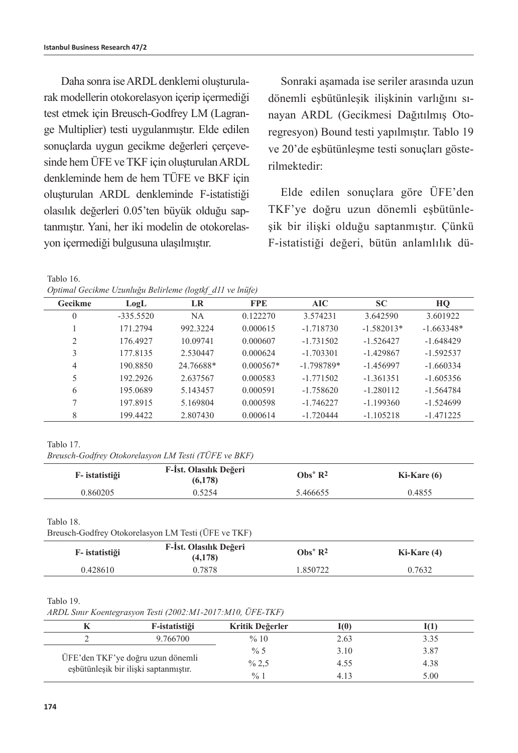Daha sonra ise ARDL denklemi oluşturularak modellerin otokorelasyon içerip içermediği test etmek için Breusch-Godfrey LM (Lagrange Multiplier) testi uygulanmıştır. Elde edilen sonuclarda uygun gecikme değerleri cercevesinde hem ÜFE ve TKF için oluşturulan ARDL denkleminde hem de hem TÜFE ve BKF için oluşturulan ARDL denkleminde F-istatistiği olasılık değerleri 0.05'ten büyük olduğu saptanmıştır. Yani, her iki modelin de otokorelasyon içermediği bulgusuna ulaşılmıştır.

Sonraki aşamada ise seriler arasında uzun dönemli eşbütünleşik ilişkinin varlığını sınayan ARDL (Gecikmesi Dağıtılmış Otoregresyon) Bound testi yapılmıştır. Tablo 19 ve 20'de eşbütünleşme testi sonuçları gösterilmektedir:

Elde edilen sonuçlara göre ÜFE'den TKF'ye doğru uzun dönemli eşbütünleşik bir ilişki olduğu saptanmıştır. Çünkü F-istatistiği değeri, bütün anlamlılık dü-

Tablo 16. *Optimal Gecikme Uzunluğu Belirleme (logtkf\_d11 ve lnüfe)*

| Gecikme      | LogL        | LR        | <b>FPE</b>  | AIC          | <b>SC</b>    | HQ           |
|--------------|-------------|-----------|-------------|--------------|--------------|--------------|
| $\mathbf{0}$ | $-335.5520$ | NA.       | 0.122270    | 3.574231     | 3.642590     | 3.601922     |
|              | 171.2794    | 992.3224  | 0.000615    | $-1.718730$  | $-1.582013*$ | $-1.663348*$ |
| 2            | 176.4927    | 10.09741  | 0.000607    | $-1.731502$  | $-1.526427$  | $-1.648429$  |
| 3            | 177.8135    | 2.530447  | 0.000624    | $-1.703301$  | $-1.429867$  | $-1.592537$  |
| 4            | 190.8850    | 24.76688* | $0.000567*$ | $-1.798789*$ | $-1.456997$  | $-1.660334$  |
| 5            | 192.2926    | 2.637567  | 0.000583    | $-1.771502$  | $-1.361351$  | $-1.605356$  |
| 6            | 195.0689    | 5.143457  | 0.000591    | $-1.758620$  | $-1.280112$  | $-1.564784$  |
|              | 197.8915    | 5.169804  | 0.000598    | $-1.746227$  | $-1.199360$  | $-1.524699$  |
| 8            | 199.4422    | 2.807430  | 0.000614    | $-1.720444$  | $-1.105218$  | $-1.471225$  |

Tablo 17.

*Breusch-Godfrey Otokorelasyon LM Testi (TÜFE ve BKF)*

| F- istatistiği | F-İst. Olasılık Değeri<br>(6,178) | $Obs^*R^2$ | $Ki-Kare(6)$ |
|----------------|-----------------------------------|------------|--------------|
| 0.860205       | 0.5254                            | 5.466655   | 0.4855       |

Tablo 18.

Breusch-Godfrey Otokorelasyon LM Testi (ÜFE ve TKF)

| F- istatistiği | F-Ist. Olasılık Değeri<br>(4,178) | $Obs^*R^2$ | Ki-Kare (4) |
|----------------|-----------------------------------|------------|-------------|
| 0.428610       | 0.7878                            | 1.850722   | 0.7632      |

#### Tablo 19.

*ARDL Sınır Koentegrasyon Testi (2002:M1-2017:M10, ÜFE-TKF)*

|                                                                            | F-istatistiği | Kritik Değerler | I(0) |      |
|----------------------------------------------------------------------------|---------------|-----------------|------|------|
|                                                                            | 9.766700      | %10             | 2.63 | 3.35 |
| ÜFE'den TKF'ye doğru uzun dönemli<br>esbütünleşik bir ilişki saptanmıştır. |               | % 5             | 3.10 | 3.87 |
|                                                                            |               | % 2,5           | 4.55 | 4.38 |
|                                                                            |               | $\frac{0}{0}$   | 4.13 | 5.00 |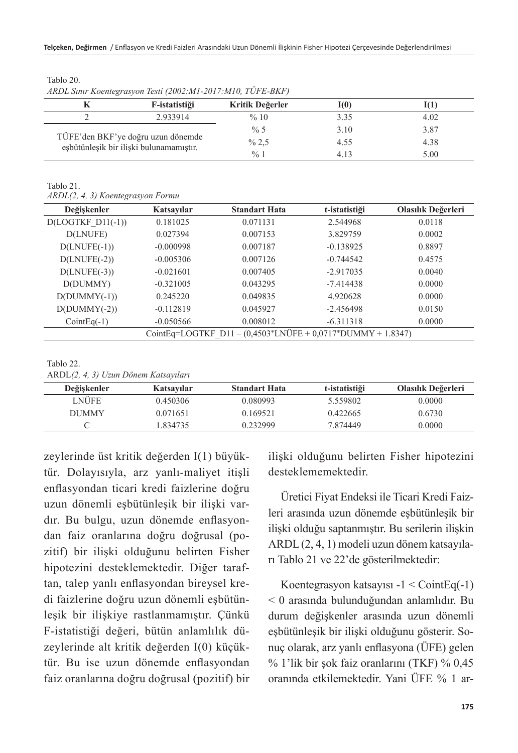| $\frac{1}{2}$                                                                 |               |                 |      |      |  |  |  |
|-------------------------------------------------------------------------------|---------------|-----------------|------|------|--|--|--|
|                                                                               | F-istatistiği | Kritik Değerler | I(0) |      |  |  |  |
|                                                                               | 2.933914      | %10             | 3.35 | 4.02 |  |  |  |
| TÜFE'den BKF'ye doğru uzun dönemde<br>esbütünlesik bir ilişki bulunamamıştır. |               | $\% 5$          | 3.10 | 3.87 |  |  |  |
|                                                                               |               | % 2,5           | 4.55 | 4.38 |  |  |  |
|                                                                               |               | $\frac{0}{0}$ 1 | 4.13 | 5.00 |  |  |  |

Tablo 20.

*ARDL Sınır Koentegrasyon Testi (2002:M1-2017:M10, TÜFE-BKF)*

Tablo 21. *ARDL(2, 4, 3) Koentegrasyon Formu*

| Değişkenler          | Katsayılar                                                    | <b>Standart Hata</b> | t-istatistiği | Olasılık Değerleri |  |  |
|----------------------|---------------------------------------------------------------|----------------------|---------------|--------------------|--|--|
| $D (LOGTKF DI1(-1))$ | 0.181025                                                      | 0.071131             | 2.544968      | 0.0118             |  |  |
| D(LNUFE)             | 0.027394                                                      | 0.007153             | 3.829759      | 0.0002             |  |  |
| $D(LNUFE(-1))$       | $-0.000998$                                                   | 0.007187             | $-0.138925$   | 0.8897             |  |  |
| $D(LNUFE(-2))$       | $-0.005306$                                                   | 0.007126             | $-0.744542$   | 0.4575             |  |  |
| $D(LNUFE(-3))$       | $-0.021601$                                                   | 0.007405             | $-2.917035$   | 0.0040             |  |  |
| D(DUMMY)             | $-0.321005$                                                   | 0.043295             | $-7.414438$   | 0.0000             |  |  |
| $D(DUMMY(-1))$       | 0.245220                                                      | 0.049835             | 4.920628      | 0.0000             |  |  |
| $D(DUMMY(-2))$       | $-0.112819$                                                   | 0.045927             | $-2.456498$   | 0.0150             |  |  |
| $CointEq(-1)$        | $-0.050566$                                                   | 0.008012             | $-6.311318$   | 0.0000             |  |  |
|                      | CointEq=LOGTKF $D11 - (0.4503*LNUFE + 0.0717*DUMMY + 1.8347)$ |                      |               |                    |  |  |
|                      |                                                               |                      |               |                    |  |  |

Tablo 22. ARDL*(2, 4, 3) Uzun Dönem Katsayıları*

| Değişkenler  | Katsayılar | <b>Standart Hata</b> | t-istatistiği | Olasılık Değerleri |
|--------------|------------|----------------------|---------------|--------------------|
| LNÜFE        | 0.450306   | 0.080993             | 5.559802      | 0.0000             |
| <b>DUMMY</b> | 0.071651   | 0.169521             | 0.422665      | 0.6730             |
|              | 1.834735   | 0.232999             | 7.874449      | 0.0000             |

zeylerinde üst kritik değerden I(1) büyüktür. Dolayısıyla, arz yanlı-maliyet itişli enflasyondan ticari kredi faizlerine doğru uzun dönemli eşbütünleşik bir ilişki vardır. Bu bulgu, uzun dönemde enflasyondan faiz oranlarına doğru doğrusal (pozitif) bir ilişki olduğunu belirten Fisher hipotezini desteklemektedir. Diğer taraftan, talep yanlı enflasyondan bireysel kredi faizlerine doğru uzun dönemli eşbütünleşik bir ilişkiye rastlanmamıştır. Çünkü F-istatistiği değeri, bütün anlamlılık düzeylerinde alt kritik değerden I(0) küçüktür. Bu ise uzun dönemde enflasyondan faiz oranlarına doğru doğrusal (pozitif) bir ilişki olduğunu belirten Fisher hipotezini desteklememektedir.

Üretici Fiyat Endeksi ile Ticari Kredi Faizleri arasında uzun dönemde eşbütünleşik bir ilişki olduğu saptanmıştır. Bu serilerin ilişkin ARDL (2, 4, 1) modeli uzun dönem katsayıları Tablo 21 ve 22'de gösterilmektedir:

Koentegrasyon katsayısı -1 < CointEq(-1) < 0 arasında bulunduğundan anlamlıdır. Bu durum değişkenler arasında uzun dönemli eşbütünleşik bir ilişki olduğunu gösterir. Sonuç olarak, arz yanlı enflasyona (ÜFE) gelen % 1'lik bir şok faiz oranlarını (TKF) % 0,45 oranında etkilemektedir. Yani ÜFE % 1 ar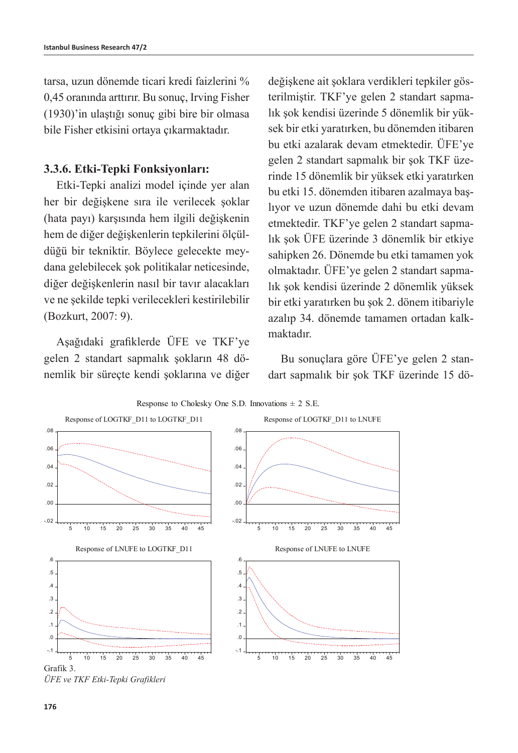tarsa, uzun dönemde ticari kredi faizlerini % 0,45 oranında arttırır. Bu sonuç, Irving Fisher (1930)'in ulaştığı sonuç gibi bire bir olmasa bile Fisher etkisini ortaya çıkarmaktadır.

#### **3.3.6. Etki-Tepki Fonksiyonları:**

Etki-Tepki analizi model içinde yer alan her bir değişkene sıra ile verilecek şoklar (hata payı) karşısında hem ilgili değişkenin hem de diğer değişkenlerin tepkilerini ölçüldüğü bir tekniktir. Böylece gelecekte meydana gelebilecek şok politikalar neticesinde, diğer değişkenlerin nasıl bir tavır alacakları ve ne şekilde tepki verilecekleri kestirilebilir (Bozkurt, 2007: 9).

Aşağıdaki grafiklerde ÜFE ve TKF'ye gelen 2 standart sapmalık şokların 48 dönemlik bir süreçte kendi şoklarına ve diğer değişkene ait şoklara verdikleri tepkiler gösterilmiştir. TKF'ye gelen 2 standart sapmalık şok kendisi üzerinde 5 dönemlik bir yüksek bir etki yaratırken, bu dönemden itibaren bu etki azalarak devam etmektedir. ÜFE'ye gelen 2 standart sapmalık bir şok TKF üzerinde 15 dönemlik bir yüksek etki yaratırken bu etki 15. dönemden itibaren azalmaya başlıyor ve uzun dönemde dahi bu etki devam etmektedir. TKF'ye gelen 2 standart sapmalık şok ÜFE üzerinde 3 dönemlik bir etkiye sahipken 26. Dönemde bu etki tamamen yok olmaktadır. ÜFE'ye gelen 2 standart sapmalık şok kendisi üzerinde 2 dönemlik yüksek bir etki yaratırken bu şok 2. dönem itibariyle azalıp 34. dönemde tamamen ortadan kalkmaktadır.

Bu sonuçlara göre ÜFE'ye gelen 2 standart sapmalık bir şok TKF üzerinde 15 dö-



*ÜFE ve TKF Etki-Tepki Grafikleri*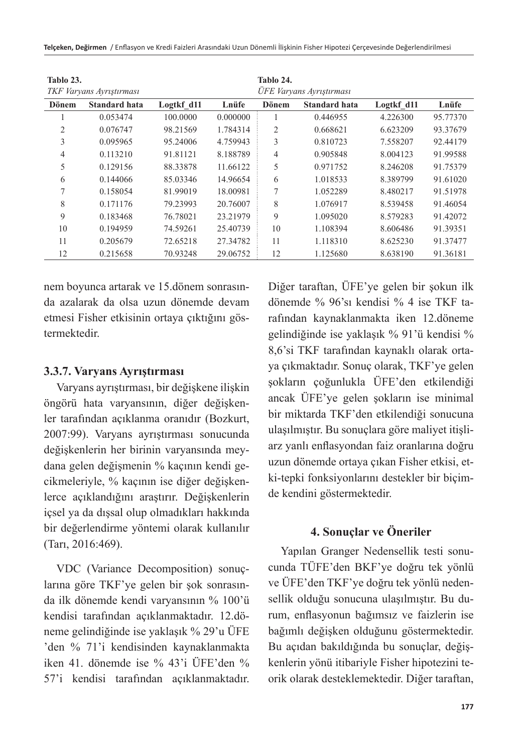**Telçeken, Değirmen** / Enflasyon ve Kredi Faizleri Arasındaki Uzun Dönemli İlişkinin Fisher Hipotezi Çerçevesinde Değerlendirilmesi

| Tablo 23.      | TKF Varyans Ayrıştırması |            |          | Tablo 24.      | ÜFE Varyans Ayrıştırması |            |          |
|----------------|--------------------------|------------|----------|----------------|--------------------------|------------|----------|
| Dönem          | <b>Standard hata</b>     | Logtkf d11 | Lnüfe    | <b>Dönem</b>   | <b>Standard hata</b>     | Logtkf d11 | Lnüfe    |
|                | 0.053474                 | 100.0000   | 0.000000 |                | 0.446955                 | 4.226300   | 95.77370 |
| $\overline{c}$ | 0.076747                 | 98.21569   | 1.784314 | $\overline{2}$ | 0.668621                 | 6.623209   | 93.37679 |
| 3              | 0.095965                 | 95.24006   | 4.759943 | 3              | 0.810723                 | 7.558207   | 92.44179 |
| 4              | 0.113210                 | 91.81121   | 8.188789 | 4              | 0.905848                 | 8.004123   | 91.99588 |
| 5              | 0.129156                 | 88.33878   | 11.66122 | 5              | 0.971752                 | 8.246208   | 91.75379 |
| 6              | 0.144066                 | 85.03346   | 14.96654 | 6              | 1.018533                 | 8.389799   | 91.61020 |
| 7              | 0.158054                 | 81.99019   | 18.00981 | $\overline{7}$ | 1.052289                 | 8.480217   | 91.51978 |
| 8              | 0.171176                 | 79.23993   | 20.76007 | 8              | 1.076917                 | 8.539458   | 91.46054 |
| 9              | 0.183468                 | 76.78021   | 23.21979 | 9              | 1.095020                 | 8.579283   | 91.42072 |
| 10             | 0.194959                 | 74.59261   | 25.40739 | 10             | 1.108394                 | 8.606486   | 91.39351 |
| 11             | 0.205679                 | 72.65218   | 27.34782 | 11             | 1.118310                 | 8.625230   | 91.37477 |
| 12             | 0.215658                 | 70.93248   | 29.06752 | 12             | 1.125680                 | 8.638190   | 91.36181 |

nem boyunca artarak ve 15.dönem sonrasında azalarak da olsa uzun dönemde devam etmesi Fisher etkisinin ortaya çıktığını göstermektedir.

#### **3.3.7. Varyans Ayrıştırması**

Varyans ayrıştırması, bir değişkene ilişkin öngörü hata varyansının, diğer değişkenler tarafından açıklanma oranıdır (Bozkurt, 2007:99). Varyans ayrıştırması sonucunda değişkenlerin her birinin varyansında meydana gelen değişmenin % kaçının kendi gecikmeleriyle, % kaçının ise diğer değişkenlerce açıklandığını araştırır. Değişkenlerin içsel ya da dışsal olup olmadıkları hakkında bir değerlendirme yöntemi olarak kullanılır (Tarı, 2016:469).

VDC (Variance Decomposition) sonuçlarına göre TKF'ye gelen bir şok sonrasında ilk dönemde kendi varyansının % 100'ü kendisi tarafından açıklanmaktadır. 12.döneme gelindiğinde ise yaklaşık % 29'u ÜFE 'den % 71'i kendisinden kaynaklanmakta iken 41. dönemde ise % 43'i ÜFE'den % 57'i kendisi tarafından açıklanmaktadır.

Diğer taraftan, ÜFE'ye gelen bir şokun ilk dönemde % 96'sı kendisi % 4 ise TKF tarafından kaynaklanmakta iken 12.döneme gelindiğinde ise yaklaşık % 91'ü kendisi % 8,6'si TKF tarafından kaynaklı olarak ortaya çıkmaktadır. Sonuç olarak, TKF'ye gelen şokların çoğunlukla ÜFE'den etkilendiği ancak ÜFE'ye gelen şokların ise minimal bir miktarda TKF'den etkilendiği sonucuna ulaşılmıştır. Bu sonuçlara göre maliyet itişliarz yanlı enflasyondan faiz oranlarına doğru uzun dönemde ortaya çıkan Fisher etkisi, etki-tepki fonksiyonlarını destekler bir biçimde kendini göstermektedir.

### **4. Sonuçlar ve Öneriler**

Yapılan Granger Nedensellik testi sonucunda TÜFE'den BKF'ye doğru tek yönlü ve ÜFE'den TKF'ye doğru tek yönlü nedensellik olduğu sonucuna ulaşılmıştır. Bu durum, enflasyonun bağımsız ve faizlerin ise bağımlı değişken olduğunu göstermektedir. Bu açıdan bakıldığında bu sonuçlar, değişkenlerin yönü itibariyle Fisher hipotezini teorik olarak desteklemektedir. Diğer taraftan,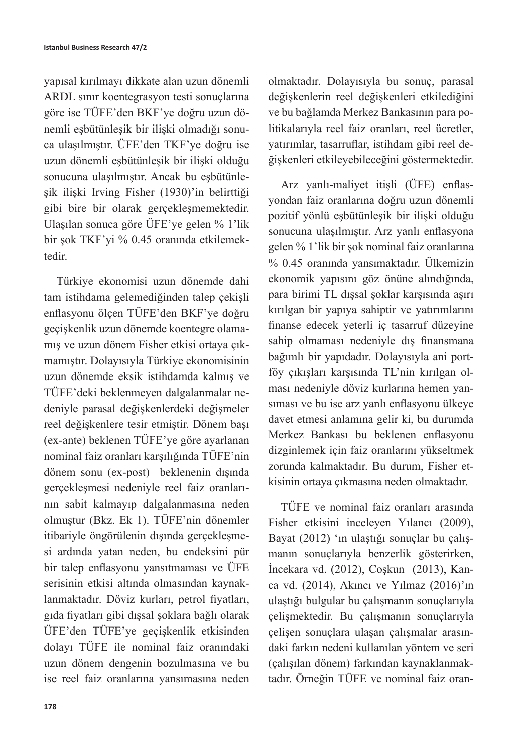yapısal kırılmayı dikkate alan uzun dönemli ARDL sınır koentegrasyon testi sonuçlarına göre ise TÜFE'den BKF'ye doğru uzun dönemli eşbütünleşik bir ilişki olmadığı sonuca ulaşılmıştır. ÜFE'den TKF'ye doğru ise uzun dönemli eşbütünleşik bir ilişki olduğu sonucuna ulaşılmıştır. Ancak bu eşbütünleşik ilişki Irving Fisher (1930)'in belirttiği gibi bire bir olarak gerçekleşmemektedir. Ulaşılan sonuca göre ÜFE'ye gelen % 1'lik bir şok TKF'yi % 0.45 oranında etkilemektedir.

Türkiye ekonomisi uzun dönemde dahi tam istihdama gelemediğinden talep çekişli enflasyonu ölçen TÜFE'den BKF'ye doğru geçişkenlik uzun dönemde koentegre olamamış ve uzun dönem Fisher etkisi ortaya çıkmamıştır. Dolayısıyla Türkiye ekonomisinin uzun dönemde eksik istihdamda kalmış ve TÜFE'deki beklenmeyen dalgalanmalar nedeniyle parasal değişkenlerdeki değişmeler reel değişkenlere tesir etmiştir. Dönem başı (ex-ante) beklenen TÜFE'ye göre ayarlanan nominal faiz oranları karşılığında TÜFE'nin dönem sonu (ex-post) beklenenin dışında gerçekleşmesi nedeniyle reel faiz oranlarının sabit kalmayıp dalgalanmasına neden olmuştur (Bkz. Ek 1). TÜFE'nin dönemler itibariyle öngörülenin dışında gerçekleşmesi ardında yatan neden, bu endeksini pür bir talep enflasyonu yansıtmaması ve ÜFE serisinin etkisi altında olmasından kaynaklanmaktadır. Döviz kurları, petrol fiyatları, gıda fiyatları gibi dışsal şoklara bağlı olarak ÜFE'den TÜFE'ye geçişkenlik etkisinden dolayı TÜFE ile nominal faiz oranındaki uzun dönem dengenin bozulmasına ve bu ise reel faiz oranlarına yansımasına neden

olmaktadır. Dolayısıyla bu sonuç, parasal değişkenlerin reel değişkenleri etkilediğini ve bu bağlamda Merkez Bankasının para politikalarıyla reel faiz oranları, reel ücretler, yatırımlar, tasarruflar, istihdam gibi reel değişkenleri etkileyebileceğini göstermektedir.

Arz yanlı-maliyet itişli (ÜFE) enflasyondan faiz oranlarına doğru uzun dönemli pozitif yönlü eşbütünleşik bir ilişki olduğu sonucuna ulaşılmıştır. Arz yanlı enflasyona gelen % 1'lik bir şok nominal faiz oranlarına % 0.45 oranında yansımaktadır. Ülkemizin ekonomik yapısını göz önüne alındığında, para birimi TL dışsal şoklar karşısında aşırı kırılgan bir yapıya sahiptir ve yatırımlarını finanse edecek yeterli iç tasarruf düzeyine sahip olmaması nedeniyle dış finansmana bağımlı bir yapıdadır. Dolayısıyla ani portföy çıkışları karşısında TL'nin kırılgan olması nedeniyle döviz kurlarına hemen yansıması ve bu ise arz yanlı enflasyonu ülkeye davet etmesi anlamına gelir ki, bu durumda Merkez Bankası bu beklenen enflasyonu dizginlemek için faiz oranlarını yükseltmek zorunda kalmaktadır. Bu durum, Fisher etkisinin ortaya çıkmasına neden olmaktadır.

TÜFE ve nominal faiz oranları arasında Fisher etkisini inceleyen Yılancı (2009), Bayat (2012) 'ın ulaştığı sonuçlar bu çalışmanın sonuçlarıyla benzerlik gösterirken, İncekara vd. (2012), Coşkun (2013), Kanca vd. (2014), Akıncı ve Yılmaz (2016)'ın ulaştığı bulgular bu çalışmanın sonuçlarıyla çelişmektedir. Bu çalışmanın sonuçlarıyla çelişen sonuçlara ulaşan çalışmalar arasındaki farkın nedeni kullanılan yöntem ve seri (çalışılan dönem) farkından kaynaklanmaktadır. Örneğin TÜFE ve nominal faiz oran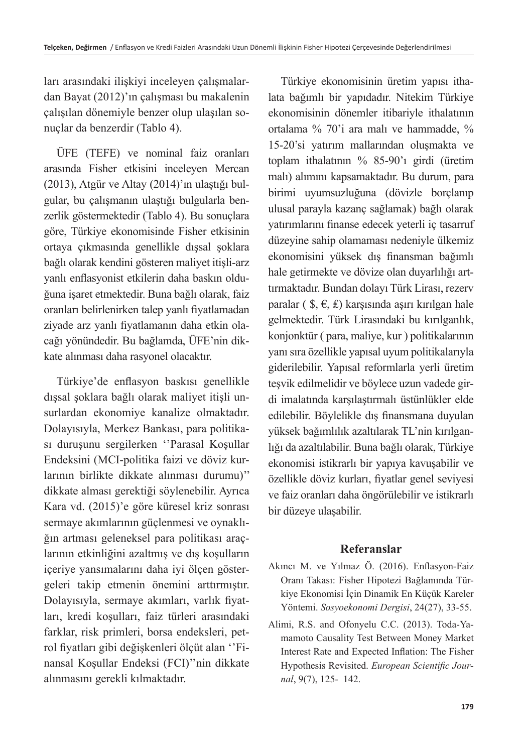ları arasındaki ilişkiyi inceleyen çalışmalardan Bayat (2012)'ın çalışması bu makalenin çalışılan dönemiyle benzer olup ulaşılan sonuçlar da benzerdir (Tablo 4).

ÜFE (TEFE) ve nominal faiz oranları arasında Fisher etkisini inceleyen Mercan (2013), Atgür ve Altay (2014)'ın ulaştığı bulgular, bu çalışmanın ulaştığı bulgularla benzerlik göstermektedir (Tablo 4). Bu sonuçlara göre, Türkiye ekonomisinde Fisher etkisinin ortaya çıkmasında genellikle dışsal şoklara bağlı olarak kendini gösteren maliyet itişli-arz yanlı enflasyonist etkilerin daha baskın olduğuna işaret etmektedir. Buna bağlı olarak, faiz oranları belirlenirken talep yanlı fiyatlamadan ziyade arz yanlı fiyatlamanın daha etkin olacağı yönündedir. Bu bağlamda, ÜFE'nin dikkate alınması daha rasyonel olacaktır.

Türkiye'de enflasyon baskısı genellikle dışsal şoklara bağlı olarak maliyet itişli unsurlardan ekonomiye kanalize olmaktadır. Dolayısıyla, Merkez Bankası, para politikası duruşunu sergilerken ''Parasal Koşullar Endeksini (MCI-politika faizi ve döviz kurlarının birlikte dikkate alınması durumu)'' dikkate alması gerektiği söylenebilir. Ayrıca Kara vd. (2015)'e göre küresel kriz sonrası sermaye akımlarının güçlenmesi ve oynaklığın artması geleneksel para politikası araçlarının etkinliğini azaltmış ve dış koşulların içeriye yansımalarını daha iyi ölçen göstergeleri takip etmenin önemini arttırmıştır. Dolayısıyla, sermaye akımları, varlık fiyatları, kredi koşulları, faiz türleri arasındaki farklar, risk primleri, borsa endeksleri, petrol fiyatları gibi değişkenleri ölçüt alan ''Finansal Koşullar Endeksi (FCI)''nin dikkate alınmasını gerekli kılmaktadır.

Türkiye ekonomisinin üretim yapısı ithalata bağımlı bir yapıdadır. Nitekim Türkiye ekonomisinin dönemler itibariyle ithalatının ortalama % 70'i ara malı ve hammadde, % 15-20'si yatırım mallarından oluşmakta ve toplam ithalatının % 85-90'ı girdi (üretim malı) alımını kapsamaktadır. Bu durum, para birimi uyumsuzluğuna (dövizle borçlanıp ulusal parayla kazanç sağlamak) bağlı olarak yatırımlarını finanse edecek yeterli iç tasarruf düzeyine sahip olamaması nedeniyle ülkemiz ekonomisini yüksek dış finansman bağımlı hale getirmekte ve dövize olan duyarlılığı arttırmaktadır. Bundan dolayı Türk Lirası, rezerv paralar (  $\hat{\mathbf{s}}, \hat{\mathbf{\epsilon}}, \hat{\mathbf{\epsilon}}$ ) karşısında aşırı kırılgan hale gelmektedir. Türk Lirasındaki bu kırılganlık, konjonktür ( para, maliye, kur ) politikalarının yanı sıra özellikle yapısal uyum politikalarıyla giderilebilir. Yapısal reformlarla yerli üretim teşvik edilmelidir ve böylece uzun vadede girdi imalatında karşılaştırmalı üstünlükler elde edilebilir. Böylelikle dış finansmana duyulan yüksek bağımlılık azaltılarak TL'nin kırılganlığı da azaltılabilir. Buna bağlı olarak, Türkiye ekonomisi istikrarlı bir yapıya kavuşabilir ve özellikle döviz kurları, fiyatlar genel seviyesi ve faiz oranları daha öngörülebilir ve istikrarlı bir düzeye ulaşabilir.

### **Referanslar**

- Akıncı M. ve Yılmaz Ö. (2016). Enflasyon-Faiz Oranı Takası: Fisher Hipotezi Bağlamında Türkiye Ekonomisi İçin Dinamik En Küçük Kareler Yöntemi. *Sosyoekonomi Dergisi*, 24(27), 33-55.
- Alimi, R.S. and Ofonyelu C.C. (2013). Toda-Yamamoto Causality Test Between Money Market Interest Rate and Expected Inflation: The Fisher Hypothesis Revisited. *European Scientific Journal*, 9(7), 125- 142.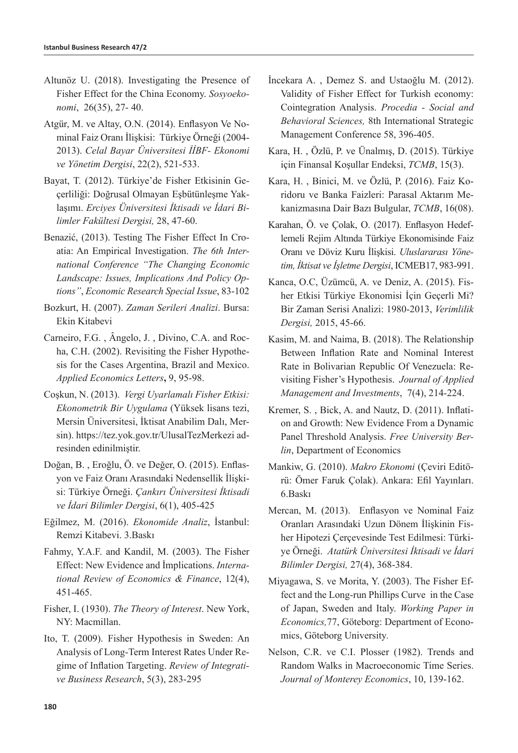- Altunöz U. (2018). Investigating the Presence of Fisher Effect for the China Economy. *Sosyoekonomi*, 26(35), 27- 40.
- Atgür, M. ve Altay, O.N. (2014). Enflasyon Ve Nominal Faiz Oranı İlişkisi: Türkiye Örneği (2004- 2013). *Celal Bayar Üniversitesi İİBF- Ekonomi ve Yönetim Dergisi*, 22(2), 521-533.
- Bayat, T. (2012). Türkiye'de Fisher Etkisinin Geçerliliği: Doğrusal Olmayan Eşbütünleşme Yaklaşımı. *Erciyes Üniversitesi İktisadi ve İdari Bilimler Fakültesi Dergisi,* 28, 47-60.
- Benazić, (2013). Testing The Fisher Effect In Croatia: An Empirical Investigation. *The 6th International Conference "The Changing Economic Landscape: Issues, Implications And Policy Options"*, *Economic Research Special Issue*, 83-102
- Bozkurt, H. (2007). *Zaman Serileri Analizi*. Bursa: Ekin Kitabevi
- Carneiro, F.G. , Ângelo, J. , Divino, C.A. and Rocha, C.H. (2002). Revisiting the Fisher Hypothesis for the Cases Argentina, Brazil and Mexico. *Applied Economics Letters***,** 9, 95-98.
- Coşkun, N. (2013). *Vergi Uyarlamalı Fisher Etkisi: Ekonometrik Bir Uygulama* (Yüksek lisans tezi, Mersin Üniversitesi, İktisat Anabilim Dalı, Mersin). <https://tez.yok.gov.tr/UlusalTezMerkezi> adresinden edinilmiştir.
- Doğan, B. , Eroğlu, Ö. ve Değer, O. (2015). Enflasyon ve Faiz Oranı Arasındaki Nedensellik İlişkisi: Türkiye Örneği. *Çankırı Üniversitesi İktisadi ve İdari Bilimler Dergisi*, 6(1), 405-425
- Eğilmez, M. (2016). *Ekonomide Analiz*, İstanbul: Remzi Kitabevi. 3.Baskı
- Fahmy, Y.A.F. and Kandil, M. (2003). The Fisher Effect: New Evidence and İmplications. *International Review of Economics & Finance*, 12(4), 451-465.
- Fisher, I. (1930). *The Theory of Interest*. New York, NY: Macmillan.
- Ito, T. (2009). Fisher Hypothesis in Sweden: An Analysis of Long-Term Interest Rates Under Regime of Inflation Targeting. *Review of Integrative Business Research*, 5(3), 283-295
- İncekara A. , Demez S. and Ustaoğlu M. (2012). Validity of Fisher Effect for Turkish economy: Cointegration Analysis. *Procedia - Social and Behavioral Sciences,* 8th International Strategic Management Conference 58, 396-405.
- Kara, H. , Özlü, P. ve Ünalmış, D. (2015). Türkiye için Finansal Koşullar Endeksi, *TCMB*, 15(3).
- Kara, H. , Binici, M. ve Özlü, P. (2016). Faiz Koridoru ve Banka Faizleri: Parasal Aktarım Mekanizmasına Dair Bazı Bulgular, *TCMB*, 16(08).
- Karahan, Ö. ve Çolak, O. (2017). Enflasyon Hedeflemeli Rejim Altında Türkiye Ekonomisinde Faiz Oranı ve Döviz Kuru İlişkisi. *Uluslararası Yönetim, İktisat ve İşletme Dergisi*, ICMEB17, 983-991.
- Kanca, O.C, Üzümcü, A. ve Deniz, A. (2015). Fisher Etkisi Türkiye Ekonomisi İçin Geçerli Mi? Bir Zaman Serisi Analizi: 1980-2013, *Verimlilik Dergisi,* 2015, 45-66.
- Kasim, M. and Naima, B. (2018). The Relationship Between Inflation Rate and Nominal Interest Rate in Bolivarian Republic Of Venezuela: Revisiting Fisher's Hypothesis. *Journal of Applied Management and Investments*, 7(4), 214-224.
- Kremer, S. , Bick, A. and Nautz, D. (2011). Inflation and Growth: New Evidence From a Dynamic Panel Threshold Analysis. *Free University Berlin*, Department of Economics
- Mankiw, G. (2010). *Makro Ekonomi* (Çeviri Editörü: Ömer Faruk Çolak). Ankara: Efil Yayınları. 6.Baskı
- Mercan, M. (2013). Enflasyon ve Nominal Faiz Oranları Arasındaki Uzun Dönem İlişkinin Fisher Hipotezi Çerçevesinde Test Edilmesi: Türkiye Örneği. *Atatürk Üniversitesi İktisadi ve İdari Bilimler Dergisi,* 27(4), 368-384.
- Miyagawa, S. ve Morita, Y. (2003). The Fisher Effect and the Long-run Phillips Curve in the Case of Japan, Sweden and Italy. *Working Paper in Economics,*77, Göteborg: Department of Economics, Göteborg University*.*
- Nelson, C.R. ve C.I. Plosser (1982). Trends and Random Walks in Macroeconomic Time Series. *Journal of Monterey Economics*, 10, 139-162.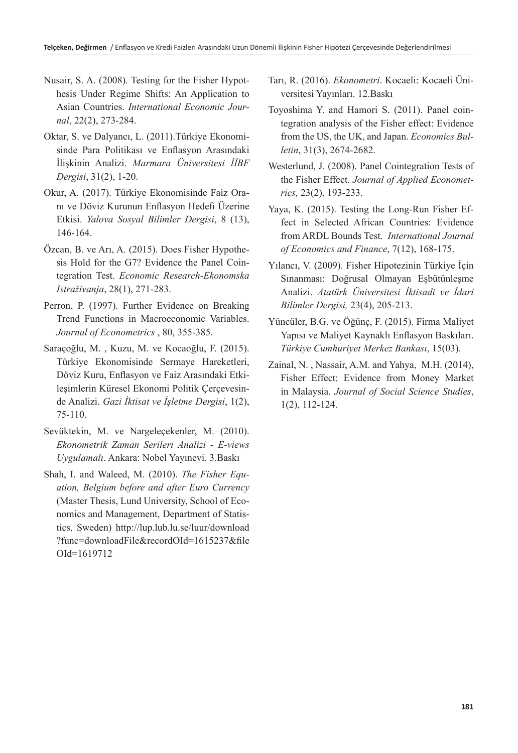- Nusair, S. A. (2008). Testing for the Fisher Hypothesis Under Regime Shifts: An Application to Asian Countries. *International Economic Journal*, 22(2), 273-284.
- Oktar, S. ve Dalyancı, L. (2011).Türkiye Ekonomisinde Para Politikası ve Enflasyon Arasındaki İlişkinin Analizi. *Marmara Üniversitesi İİBF Dergisi*, 31(2), 1-20.
- Okur, A. (2017). Türkiye Ekonomisinde Faiz Oranı ve Döviz Kurunun Enflasyon Hedefi Üzerine Etkisi. *Yalova Sosyal Bilimler Dergisi*, 8 (13), 146-164.
- Özcan, B. ve Arı, A. (2015). Does Fisher Hypothesis Hold for the G7? Evidence the Panel Cointegration Test. *Economic Research-Ekonomska Istraživanja*, 28(1), 271-283.
- Perron, P. (1997). Further Evidence on Breaking Trend Functions in Macroeconomic Variables. *Journal of Econometrics* , 80, 355-385.
- Saraçoğlu, M. , Kuzu, M. ve Kocaoğlu, F. (2015). Türkiye Ekonomisinde Sermaye Hareketleri, Döviz Kuru, Enflasyon ve Faiz Arasındaki Etkileşimlerin Küresel Ekonomi Politik Çerçevesinde Analizi. *Gazi İktisat ve İşletme Dergisi*, 1(2), 75-110.
- Sevüktekin, M. ve Nargeleçekenler, M. (2010). *Ekonometrik Zaman Serileri Analizi - E-views Uygulamalı*. Ankara: Nobel Yayınevi. 3.Baskı
- Shah, I. and Waleed, M. (2010). *The Fisher Equation, Belgium before and after Euro Currency* (Master Thesis, Lund University, School of Economics and Management, Department of Statistics, Sweden) [http://lup.lub.lu.se/luur/download](http://lup.lub.lu.se/luur/download?func=downloadFile&recordOId=1615237&fileOId=1619712) [?func=downloadFile&recordOId=1615237&file](http://lup.lub.lu.se/luur/download?func=downloadFile&recordOId=1615237&fileOId=1619712) [OId=1619712](http://lup.lub.lu.se/luur/download?func=downloadFile&recordOId=1615237&fileOId=1619712)
- Tarı, R. (2016). *Ekonometri*. Kocaeli: Kocaeli Üniversitesi Yayınları. 12.Baskı
- Toyoshima Y. and Hamori S. (2011). Panel cointegration analysis of the Fisher effect: Evidence from the US, the UK, and Japan. *Economics Bulletin*, 31(3), 2674-2682.
- Westerlund, J. (2008). Panel Cointegration Tests of the Fisher Effect. *Journal of Applied Econometrics,* 23(2), 193-233.
- Yaya, K. (2015). Testing the Long-Run Fisher Effect in Selected African Countries: Evidence from ARDL Bounds Test. *International Journal of Economics and Finance*, 7(12), 168-175.
- Yılancı, V. (2009). Fisher Hipotezinin Türkiye İçin Sınanması: Doğrusal Olmayan Eşbütünleşme Analizi. *Atatürk Üniversitesi İktisadi ve İdari Bilimler Dergisi,* 23(4), 205-213.
- Yüncüler, B.G. ve Öğünç, F. (2015). Firma Maliyet Yapısı ve Maliyet Kaynaklı Enflasyon Baskıları. *Türkiye Cumhuriyet Merkez Bankası*, 15(03).
- Zainal, N. , Nassair, A.M. and Yahya, M.H. (2014), Fisher Effect: Evidence from Money Market in Malaysia. *Journal of Social Science Studies*, 1(2), 112-124.